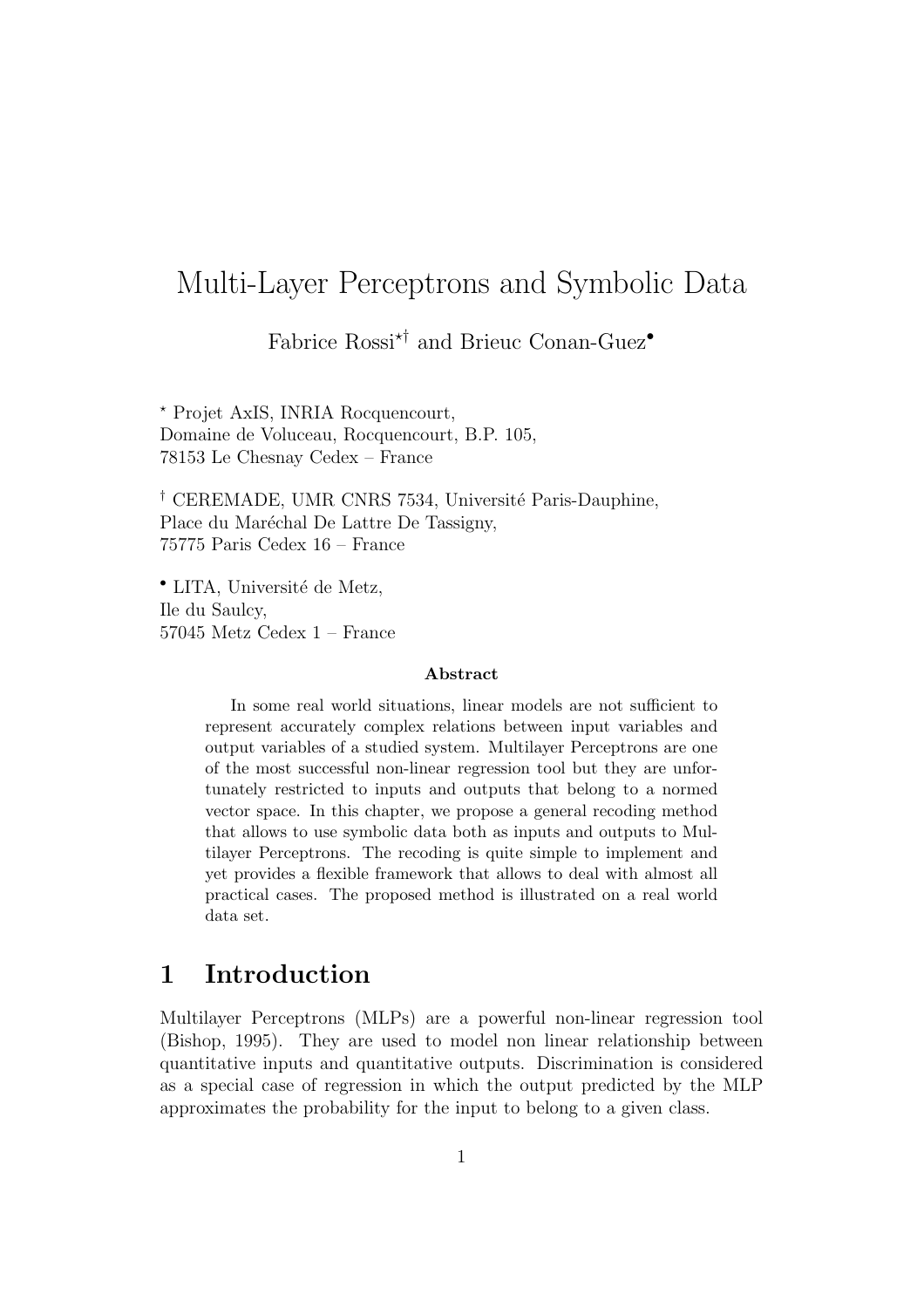# Multi-Layer Perceptrons and Symbolic Data

Fabrice  $\mathrm{Rossi}^{\star\dagger}$  and Brieuc Conan-Guez•

<sup>⋆</sup> Projet AxIS, INRIA Rocquencourt, Domaine de Voluceau, Rocquencourt, B.P. 105, 78153 Le Chesnay Cedex – France

<sup>†</sup> CEREMADE, UMR CNRS 7534, Université Paris-Dauphine, Place du Maréchal De Lattre De Tassigny, 75775 Paris Cedex 16 – France

• LITA, Université de Metz, Ile du Saulcy, 57045 Metz Cedex 1 – France

#### Abstract

In some real world situations, linear models are not sufficient to represent accurately complex relations between input variables and output variables of a studied system. Multilayer Perceptrons are one of the most successful non-linear regression tool but they are unfortunately restricted to inputs and outputs that belong to a normed vector space. In this chapter, we propose a general recoding method that allows to use symbolic data both as inputs and outputs to Multilayer Perceptrons. The recoding is quite simple to implement and yet provides a flexible framework that allows to deal with almost all practical cases. The proposed method is illustrated on a real world data set.

# 1 Introduction

Multilayer Perceptrons (MLPs) are a powerful non-linear regression tool (Bishop, 1995). They are used to model non linear relationship between quantitative inputs and quantitative outputs. Discrimination is considered as a special case of regression in which the output predicted by the MLP approximates the probability for the input to belong to a given class.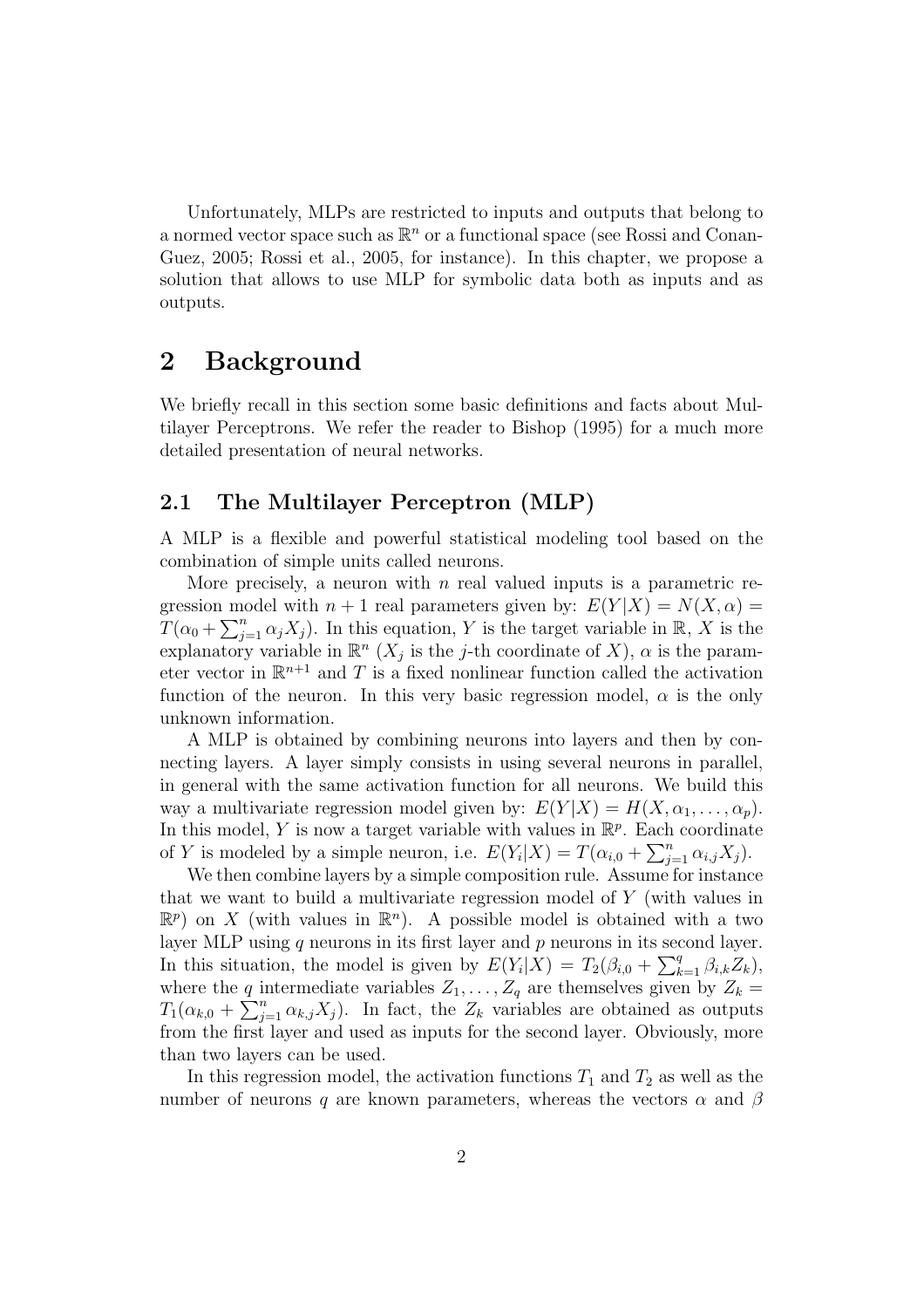Unfortunately, MLPs are restricted to inputs and outputs that belong to a normed vector space such as  $\mathbb{R}^n$  or a functional space (see Rossi and Conan-Guez, 2005; Rossi et al., 2005, for instance). In this chapter, we propose a solution that allows to use MLP for symbolic data both as inputs and as outputs.

## 2 Background

We briefly recall in this section some basic definitions and facts about Multilayer Perceptrons. We refer the reader to Bishop (1995) for a much more detailed presentation of neural networks.

## 2.1 The Multilayer Perceptron (MLP)

A MLP is a flexible and powerful statistical modeling tool based on the combination of simple units called neurons.

More precisely, a neuron with  $n$  real valued inputs is a parametric regression model with  $n + 1$  real parameters given by:  $E(Y|X) = N(X, \alpha)$  $T(\alpha_0 + \sum_{j=1}^n \alpha_j X_j)$ . In this equation, Y is the target variable in R, X is the explanatory variable in  $\mathbb{R}^n$  ( $X_j$  is the j-th coordinate of X),  $\alpha$  is the parameter vector in  $\mathbb{R}^{n+1}$  and T is a fixed nonlinear function called the activation function of the neuron. In this very basic regression model,  $\alpha$  is the only unknown information.

A MLP is obtained by combining neurons into layers and then by connecting layers. A layer simply consists in using several neurons in parallel, in general with the same activation function for all neurons. We build this way a multivariate regression model given by:  $E(Y|X) = H(X, \alpha_1, \ldots, \alpha_p)$ . In this model, Y is now a target variable with values in  $\mathbb{R}^p$ . Each coordinate of Y is modeled by a simple neuron, i.e.  $E(Y_i|X) = T(\alpha_{i,0} + \sum_{j=1}^n \alpha_{i,j} X_j)$ .

We then combine layers by a simple composition rule. Assume for instance that we want to build a multivariate regression model of Y (with values in  $\mathbb{R}^p$ ) on X (with values in  $\mathbb{R}^n$ ). A possible model is obtained with a two layer MLP using  $q$  neurons in its first layer and  $p$  neurons in its second layer. In this situation, the model is given by  $E(Y_i|\tilde{X}) = T_2(\beta_{i,0} + \sum_{k=1}^q \beta_{i,k} Z_k)$ , where the q intermediate variables  $Z_1, \ldots, Z_q$  are themselves given by  $Z_k =$  $T_1(\alpha_{k,0} + \sum_{j=1}^n \alpha_{k,j} X_j)$ . In fact, the  $Z_k$  variables are obtained as outputs from the first layer and used as inputs for the second layer. Obviously, more than two layers can be used.

In this regression model, the activation functions  $T_1$  and  $T_2$  as well as the number of neurons q are known parameters, whereas the vectors  $\alpha$  and  $\beta$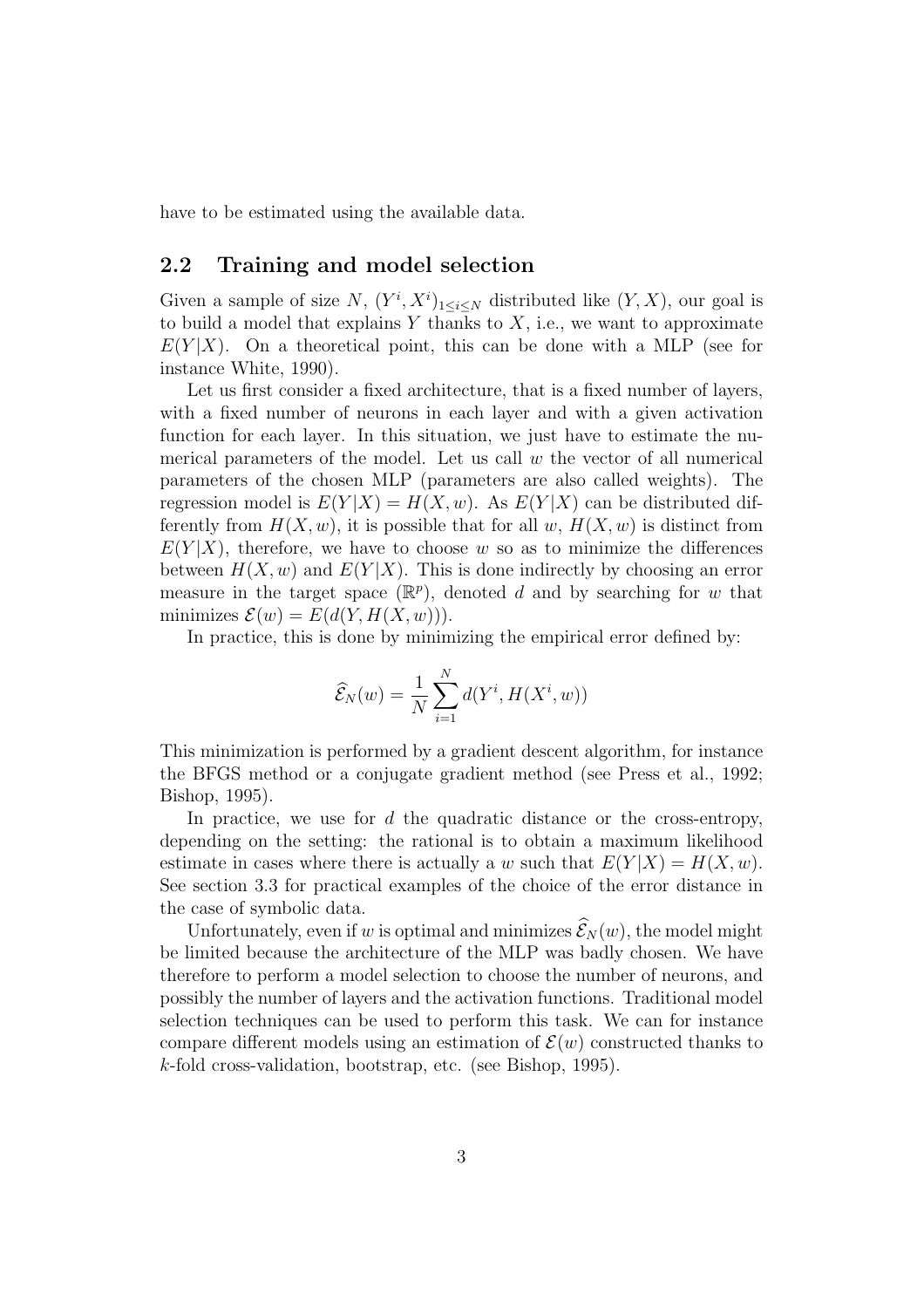have to be estimated using the available data.

### 2.2 Training and model selection

Given a sample of size N,  $(Y^i, X^i)_{1 \leq i \leq N}$  distributed like  $(Y, X)$ , our goal is to build a model that explains  $Y$  thanks to  $X$ , i.e., we want to approximate  $E(Y|X)$ . On a theoretical point, this can be done with a MLP (see for instance White, 1990).

Let us first consider a fixed architecture, that is a fixed number of layers, with a fixed number of neurons in each layer and with a given activation function for each layer. In this situation, we just have to estimate the numerical parameters of the model. Let us call  $w$  the vector of all numerical parameters of the chosen MLP (parameters are also called weights). The regression model is  $E(Y|X) = H(X, w)$ . As  $E(Y|X)$  can be distributed differently from  $H(X, w)$ , it is possible that for all w,  $H(X, w)$  is distinct from  $E(Y|X)$ , therefore, we have to choose w so as to minimize the differences between  $H(X, w)$  and  $E(Y|X)$ . This is done indirectly by choosing an error measure in the target space  $(\mathbb{R}^p)$ , denoted d and by searching for w that minimizes  $\mathcal{E}(w) = E(d(Y, H(X, w))).$ 

In practice, this is done by minimizing the empirical error defined by:

$$
\widehat{\mathcal{E}}_N(w) = \frac{1}{N} \sum_{i=1}^N d(Y^i, H(X^i, w))
$$

This minimization is performed by a gradient descent algorithm, for instance the BFGS method or a conjugate gradient method (see Press et al., 1992; Bishop, 1995).

In practice, we use for  $d$  the quadratic distance or the cross-entropy, depending on the setting: the rational is to obtain a maximum likelihood estimate in cases where there is actually a w such that  $E(Y|X) = H(X, w)$ . See section 3.3 for practical examples of the choice of the error distance in the case of symbolic data.

Unfortunately, even if w is optimal and minimizes  $\widehat{\mathcal{E}}_N(w)$ , the model might be limited because the architecture of the MLP was badly chosen. We have therefore to perform a model selection to choose the number of neurons, and possibly the number of layers and the activation functions. Traditional model selection techniques can be used to perform this task. We can for instance compare different models using an estimation of  $\mathcal{E}(w)$  constructed thanks to k-fold cross-validation, bootstrap, etc. (see Bishop, 1995).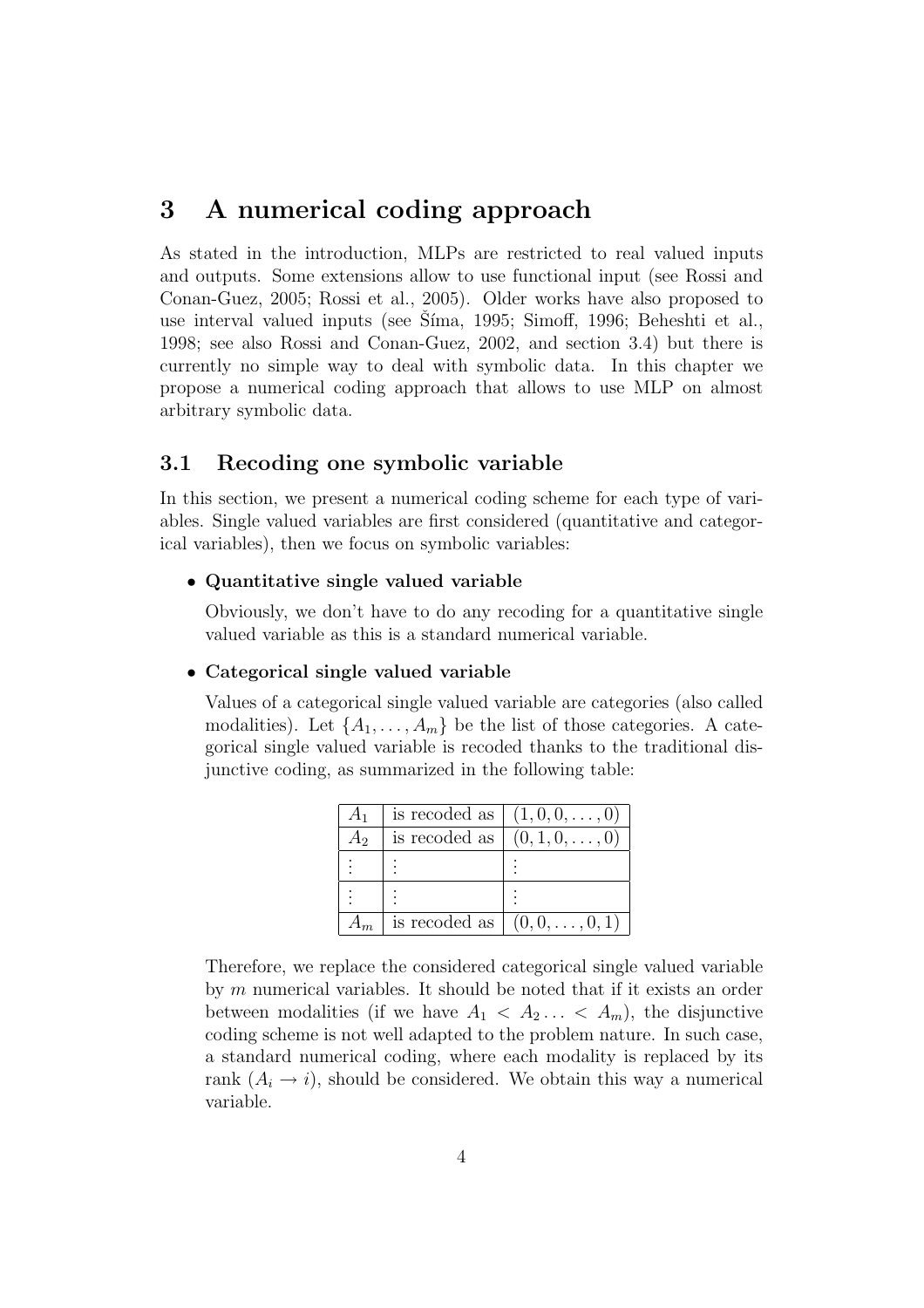## 3 A numerical coding approach

As stated in the introduction, MLPs are restricted to real valued inputs and outputs. Some extensions allow to use functional input (see Rossi and Conan-Guez, 2005; Rossi et al., 2005). Older works have also proposed to use interval valued inputs (see Síma, 1995; Simoff, 1996; Beheshti et al., 1998; see also Rossi and Conan-Guez, 2002, and section 3.4) but there is currently no simple way to deal with symbolic data. In this chapter we propose a numerical coding approach that allows to use MLP on almost arbitrary symbolic data.

## 3.1 Recoding one symbolic variable

In this section, we present a numerical coding scheme for each type of variables. Single valued variables are first considered (quantitative and categorical variables), then we focus on symbolic variables:

#### • Quantitative single valued variable

Obviously, we don't have to do any recoding for a quantitative single valued variable as this is a standard numerical variable.

#### • Categorical single valued variable

Values of a categorical single valued variable are categories (also called modalities). Let  $\{A_1, \ldots, A_m\}$  be the list of those categories. A categorical single valued variable is recoded thanks to the traditional disjunctive coding, as summarized in the following table:

| $A_1$ |               | is recoded as $(1, 0, 0, , 0)$ |
|-------|---------------|--------------------------------|
| $A_2$ | is recoded as | $(0, 1, 0, \ldots, 0)$         |
|       |               |                                |
|       |               |                                |
|       |               | is recoded as $(0, 0, , 0, 1)$ |

Therefore, we replace the considered categorical single valued variable by m numerical variables. It should be noted that if it exists an order between modalities (if we have  $A_1 \leq A_2 \ldots \leq A_m$ ), the disjunctive coding scheme is not well adapted to the problem nature. In such case, a standard numerical coding, where each modality is replaced by its rank  $(A_i \rightarrow i)$ , should be considered. We obtain this way a numerical variable.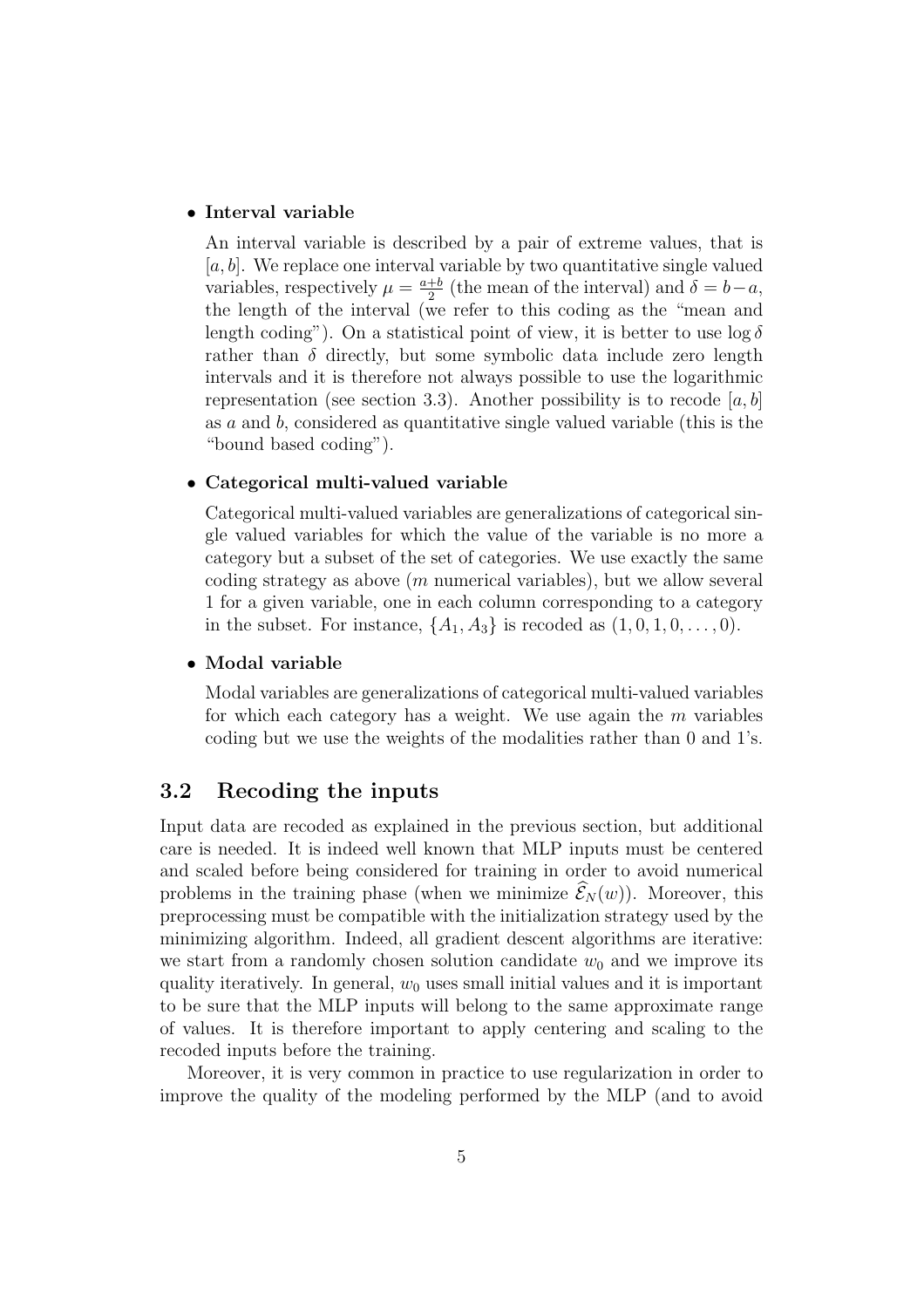#### • Interval variable

An interval variable is described by a pair of extreme values, that is  $[a, b]$ . We replace one interval variable by two quantitative single valued variables, respectively  $\mu = \frac{a+b}{2}$  $\frac{+b}{2}$  (the mean of the interval) and  $\delta = b-a$ , the length of the interval (we refer to this coding as the "mean and length coding"). On a statistical point of view, it is better to use  $\log \delta$ rather than  $\delta$  directly, but some symbolic data include zero length intervals and it is therefore not always possible to use the logarithmic representation (see section 3.3). Another possibility is to recode [a, b] as a and b, considered as quantitative single valued variable (this is the "bound based coding").

#### • Categorical multi-valued variable

Categorical multi-valued variables are generalizations of categorical single valued variables for which the value of the variable is no more a category but a subset of the set of categories. We use exactly the same coding strategy as above  $(m$  numerical variables), but we allow several 1 for a given variable, one in each column corresponding to a category in the subset. For instance,  $\{A_1, A_3\}$  is recoded as  $(1, 0, 1, 0, \ldots, 0)$ .

#### • Modal variable

Modal variables are generalizations of categorical multi-valued variables for which each category has a weight. We use again the  $m$  variables coding but we use the weights of the modalities rather than 0 and 1's.

### 3.2 Recoding the inputs

Input data are recoded as explained in the previous section, but additional care is needed. It is indeed well known that MLP inputs must be centered and scaled before being considered for training in order to avoid numerical problems in the training phase (when we minimize  $\widehat{\mathcal{E}}_N(w)$ ). Moreover, this preprocessing must be compatible with the initialization strategy used by the minimizing algorithm. Indeed, all gradient descent algorithms are iterative: we start from a randomly chosen solution candidate  $w_0$  and we improve its quality iteratively. In general,  $w_0$  uses small initial values and it is important to be sure that the MLP inputs will belong to the same approximate range of values. It is therefore important to apply centering and scaling to the recoded inputs before the training.

Moreover, it is very common in practice to use regularization in order to improve the quality of the modeling performed by the MLP (and to avoid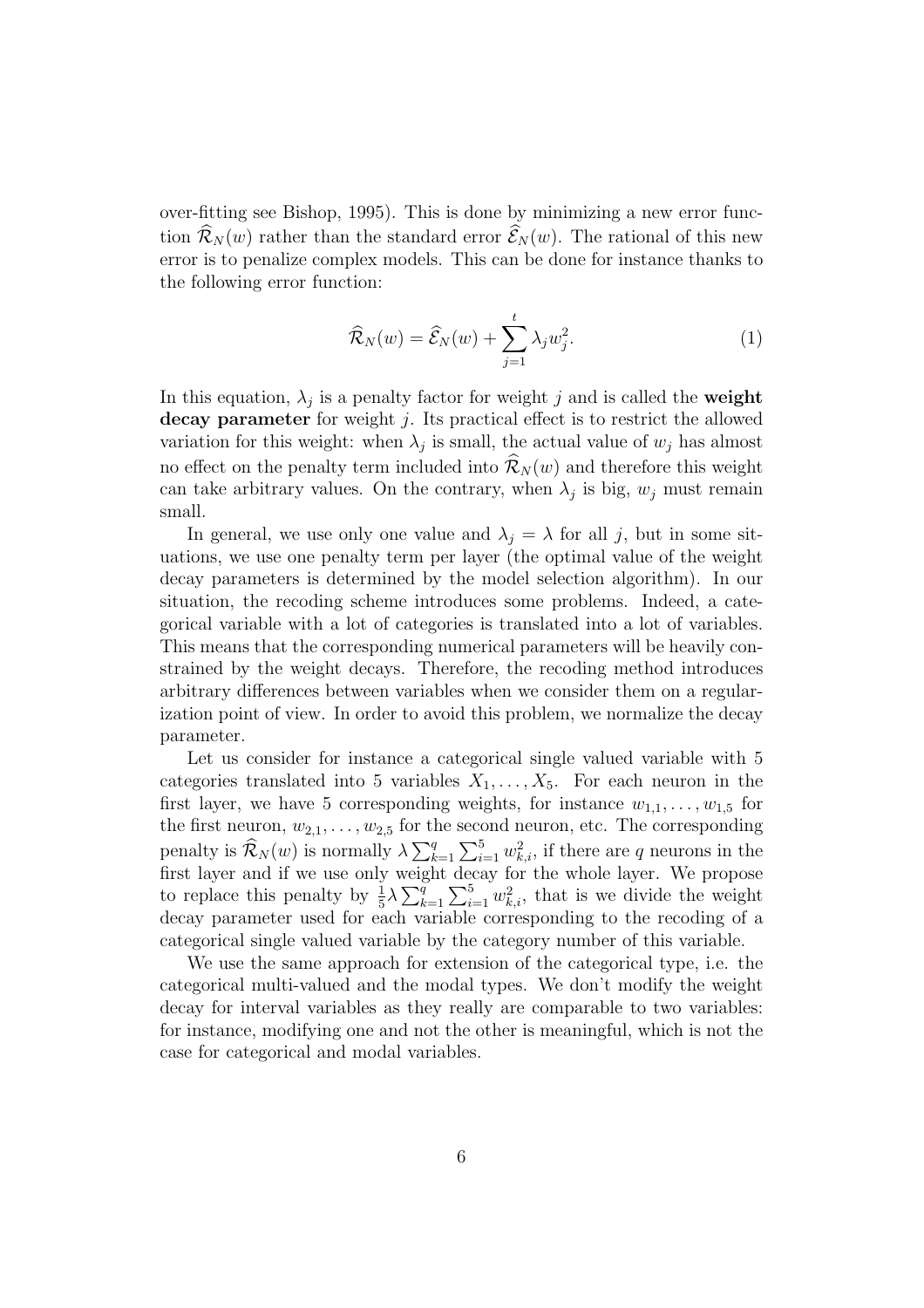over-fitting see Bishop, 1995). This is done by minimizing a new error function  $\widehat{\mathcal{R}}_N(w)$  rather than the standard error  $\widehat{\mathcal{E}}_N(w)$ . The rational of this new error is to penalize complex models. This can be done for instance thanks to the following error function:

$$
\widehat{\mathcal{R}}_N(w) = \widehat{\mathcal{E}}_N(w) + \sum_{j=1}^t \lambda_j w_j^2.
$$
 (1)

In this equation,  $\lambda_j$  is a penalty factor for weight j and is called the **weight** decay parameter for weight  $j$ . Its practical effect is to restrict the allowed variation for this weight: when  $\lambda_j$  is small, the actual value of  $w_j$  has almost no effect on the penalty term included into  $\mathcal{R}_N(w)$  and therefore this weight can take arbitrary values. On the contrary, when  $\lambda_j$  is big,  $w_j$  must remain small.

In general, we use only one value and  $\lambda_i = \lambda$  for all j, but in some situations, we use one penalty term per layer (the optimal value of the weight decay parameters is determined by the model selection algorithm). In our situation, the recoding scheme introduces some problems. Indeed, a categorical variable with a lot of categories is translated into a lot of variables. This means that the corresponding numerical parameters will be heavily constrained by the weight decays. Therefore, the recoding method introduces arbitrary differences between variables when we consider them on a regularization point of view. In order to avoid this problem, we normalize the decay parameter.

Let us consider for instance a categorical single valued variable with 5 categories translated into 5 variables  $X_1, \ldots, X_5$ . For each neuron in the first layer, we have 5 corresponding weights, for instance  $w_{1,1}, \ldots, w_{1,5}$  for the first neuron,  $w_{2,1}, \ldots, w_{2,5}$  for the second neuron, etc. The corresponding penalty is  $\widehat{\mathcal{R}}_N(w)$  is normally  $\lambda \sum_{k=1}^q \sum_{i=1}^5 w_{k,i}^2$ , if there are q neurons in the first layer and if we use only weight decay for the whole layer. We propose to replace this penalty by  $\frac{1}{5}\lambda \sum_{k=1}^{q} \sum_{i=1}^{5} w_{k,i}^2$ , that is we divide the weight decay parameter used for each variable corresponding to the recoding of a categorical single valued variable by the category number of this variable.

We use the same approach for extension of the categorical type, i.e. the categorical multi-valued and the modal types. We don't modify the weight decay for interval variables as they really are comparable to two variables: for instance, modifying one and not the other is meaningful, which is not the case for categorical and modal variables.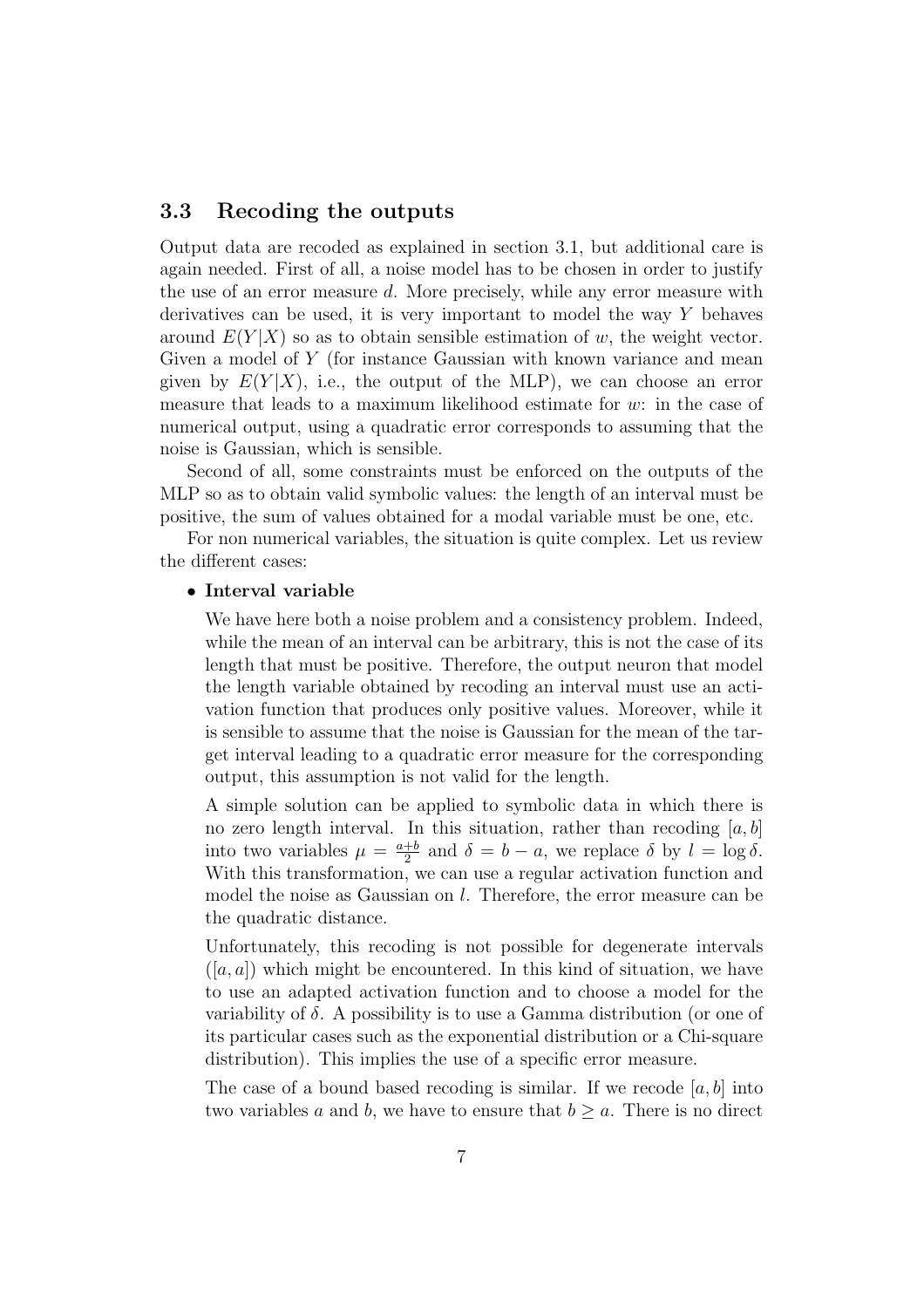## 3.3 Recoding the outputs

Output data are recoded as explained in section 3.1, but additional care is again needed. First of all, a noise model has to be chosen in order to justify the use of an error measure d. More precisely, while any error measure with derivatives can be used, it is very important to model the way Y behaves around  $E(Y|X)$  so as to obtain sensible estimation of w, the weight vector. Given a model of Y (for instance Gaussian with known variance and mean given by  $E(Y|X)$ , i.e., the output of the MLP), we can choose an error measure that leads to a maximum likelihood estimate for w: in the case of numerical output, using a quadratic error corresponds to assuming that the noise is Gaussian, which is sensible.

Second of all, some constraints must be enforced on the outputs of the MLP so as to obtain valid symbolic values: the length of an interval must be positive, the sum of values obtained for a modal variable must be one, etc.

For non numerical variables, the situation is quite complex. Let us review the different cases:

#### • Interval variable

We have here both a noise problem and a consistency problem. Indeed, while the mean of an interval can be arbitrary, this is not the case of its length that must be positive. Therefore, the output neuron that model the length variable obtained by recoding an interval must use an activation function that produces only positive values. Moreover, while it is sensible to assume that the noise is Gaussian for the mean of the target interval leading to a quadratic error measure for the corresponding output, this assumption is not valid for the length.

A simple solution can be applied to symbolic data in which there is no zero length interval. In this situation, rather than recoding  $[a, b]$ into two variables  $\mu = \frac{a+b}{2}$  $\frac{1}{2}$  and  $\delta = b - a$ , we replace  $\delta$  by  $l = \log \delta$ . With this transformation, we can use a regular activation function and model the noise as Gaussian on *l*. Therefore, the error measure can be the quadratic distance.

Unfortunately, this recoding is not possible for degenerate intervals  $([a, a])$  which might be encountered. In this kind of situation, we have to use an adapted activation function and to choose a model for the variability of  $\delta$ . A possibility is to use a Gamma distribution (or one of its particular cases such as the exponential distribution or a Chi-square distribution). This implies the use of a specific error measure.

The case of a bound based recoding is similar. If we recode  $[a, b]$  into two variables a and b, we have to ensure that  $b \geq a$ . There is no direct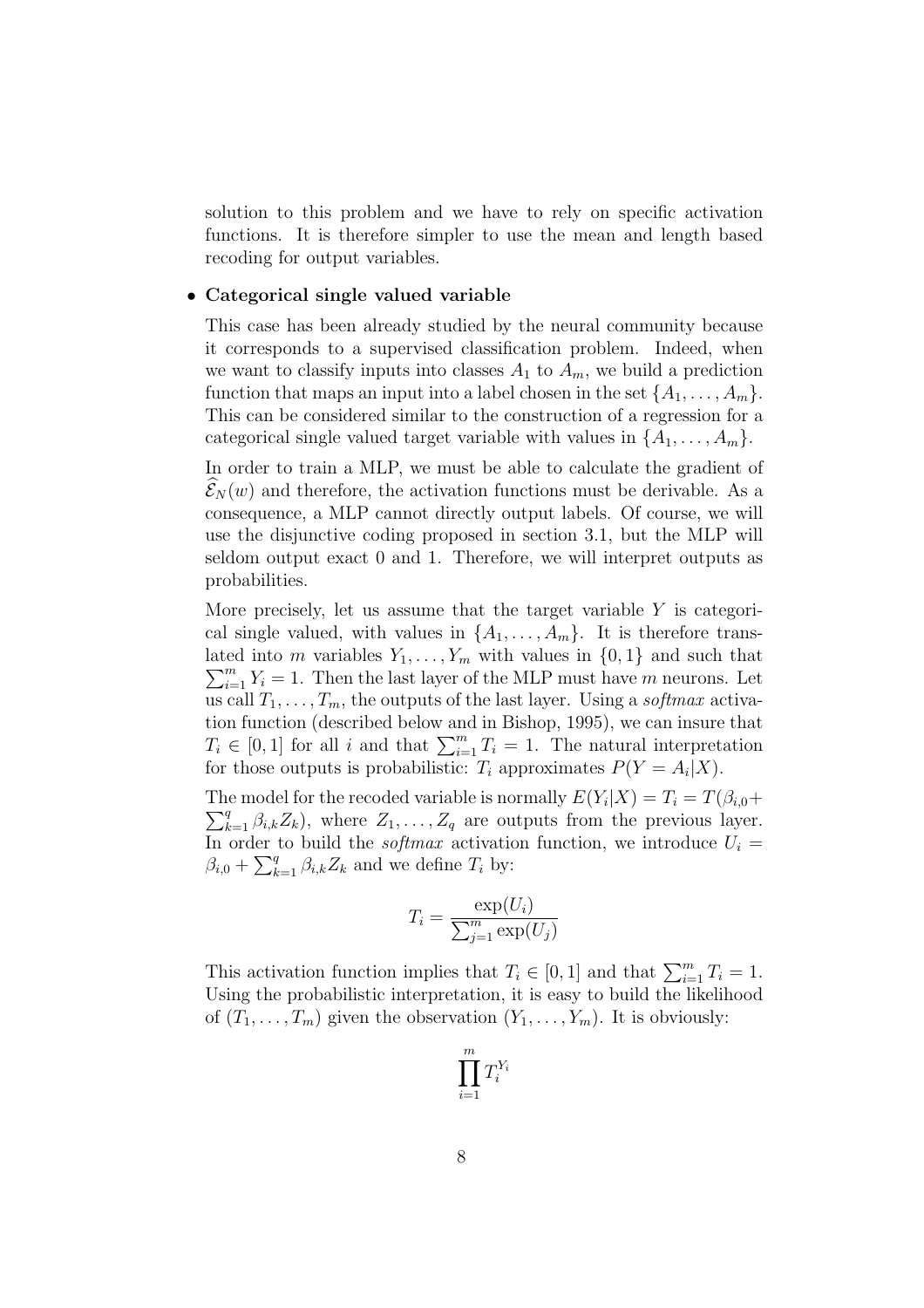solution to this problem and we have to rely on specific activation functions. It is therefore simpler to use the mean and length based recoding for output variables.

#### • Categorical single valued variable

This case has been already studied by the neural community because it corresponds to a supervised classification problem. Indeed, when we want to classify inputs into classes  $A_1$  to  $A_m$ , we build a prediction function that maps an input into a label chosen in the set  $\{A_1, \ldots, A_m\}$ . This can be considered similar to the construction of a regression for a categorical single valued target variable with values in  $\{A_1, \ldots, A_m\}$ .

In order to train a MLP, we must be able to calculate the gradient of  $\mathcal{E}_N(w)$  and therefore, the activation functions must be derivable. As a consequence, a MLP cannot directly output labels. Of course, we will use the disjunctive coding proposed in section 3.1, but the MLP will seldom output exact 0 and 1. Therefore, we will interpret outputs as probabilities.

More precisely, let us assume that the target variable  $Y$  is categorical single valued, with values in  $\{A_1, \ldots, A_m\}$ . It is therefore translated into m variables  $Y_1, \ldots, Y_m$  with values in  $\{0, 1\}$  and such that  $\sum_{i=1}^{m} Y_i = 1$ . Then the last layer of the MLP must have m neurons. Let us call  $T_1, \ldots, T_m$ , the outputs of the last layer. Using a *softmax* activation function (described below and in Bishop, 1995), we can insure that  $T_i \in [0,1]$  for all i and that  $\sum_{i=1}^m T_i = 1$ . The natural interpretation for those outputs is probabilistic:  $T_i$  approximates  $P(Y = A_i | X)$ .

The model for the recoded variable is normally  $E(Y_i|X) = T_i = T(\beta_{i,0} +$  $\sum_{k=1}^{q} \beta_{i,k} Z_k$ , where  $Z_1, \ldots, Z_q$  are outputs from the previous layer. In order to build the *softmax* activation function, we introduce  $U_i =$  $\beta_{i,0} + \sum_{k=1}^{q} \beta_{i,k} Z_k$  and we define  $T_i$  by:

$$
T_i = \frac{\exp(U_i)}{\sum_{j=1}^m \exp(U_j)}
$$

This activation function implies that  $T_i \in [0,1]$  and that  $\sum_{i=1}^{m} T_i = 1$ . Using the probabilistic interpretation, it is easy to build the likelihood of  $(T_1, \ldots, T_m)$  given the observation  $(Y_1, \ldots, Y_m)$ . It is obviously:

$$
\prod_{i=1}^m T_i^{Y_i}
$$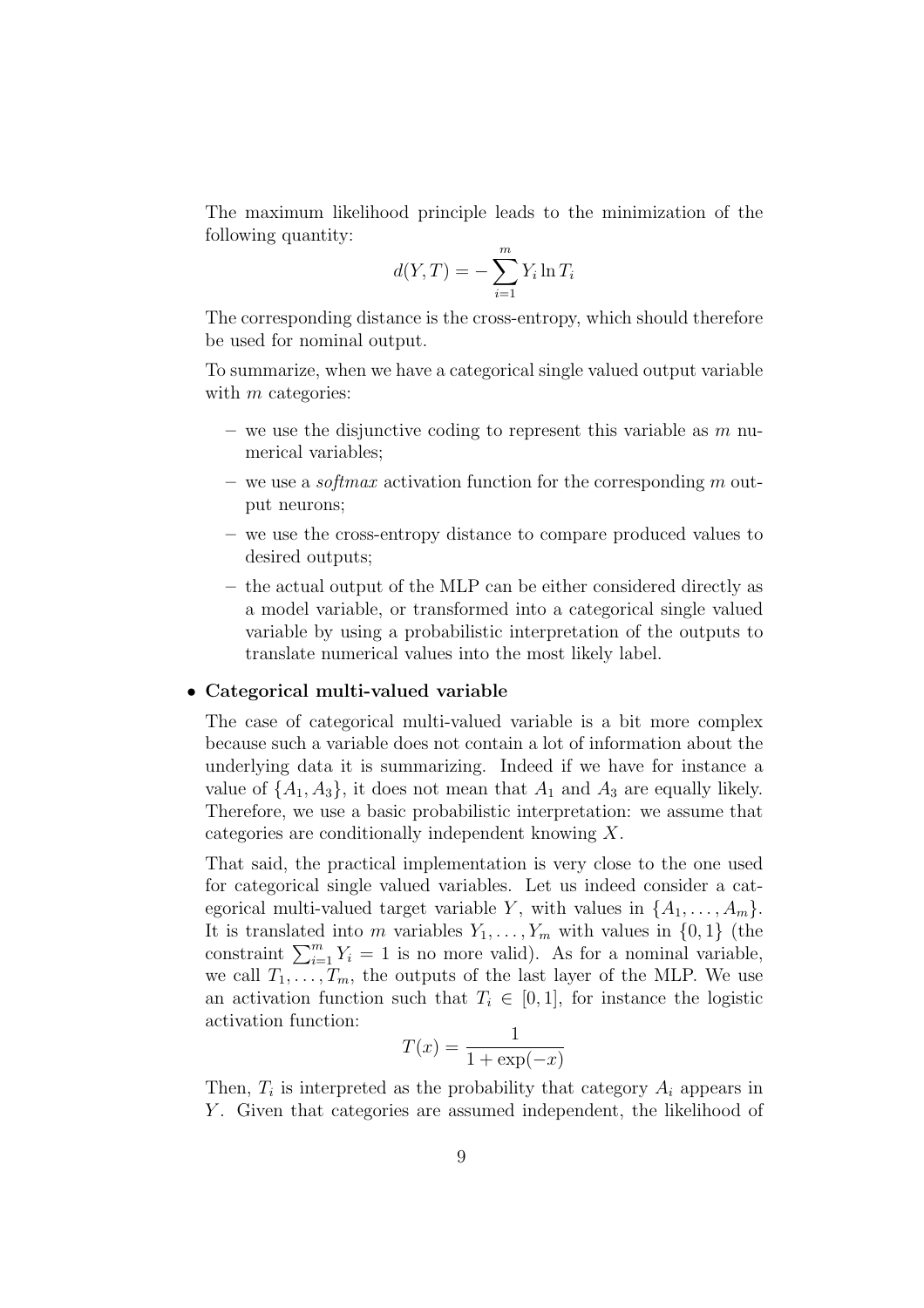The maximum likelihood principle leads to the minimization of the following quantity:

$$
d(Y,T) = -\sum_{i=1}^{m} Y_i \ln T_i
$$

The corresponding distance is the cross-entropy, which should therefore be used for nominal output.

To summarize, when we have a categorical single valued output variable with  $m$  categories:

- we use the disjunctive coding to represent this variable as  $m$  numerical variables;
- we use a *softmax* activation function for the corresponding m output neurons;
- we use the cross-entropy distance to compare produced values to desired outputs;
- the actual output of the MLP can be either considered directly as a model variable, or transformed into a categorical single valued variable by using a probabilistic interpretation of the outputs to translate numerical values into the most likely label.

#### • Categorical multi-valued variable

The case of categorical multi-valued variable is a bit more complex because such a variable does not contain a lot of information about the underlying data it is summarizing. Indeed if we have for instance a value of  $\{A_1, A_3\}$ , it does not mean that  $A_1$  and  $A_3$  are equally likely. Therefore, we use a basic probabilistic interpretation: we assume that categories are conditionally independent knowing X.

That said, the practical implementation is very close to the one used for categorical single valued variables. Let us indeed consider a categorical multi-valued target variable Y, with values in  $\{A_1, \ldots, A_m\}$ . It is translated into m variables  $Y_1, \ldots, Y_m$  with values in  $\{0, 1\}$  (the constraint  $\sum_{i=1}^{m} Y_i = 1$  is no more valid). As for a nominal variable, we call  $T_1, \ldots, T_m$ , the outputs of the last layer of the MLP. We use an activation function such that  $T_i \in [0,1]$ , for instance the logistic activation function:

$$
T(x) = \frac{1}{1 + \exp(-x)}
$$

Then,  $T_i$  is interpreted as the probability that category  $A_i$  appears in Y. Given that categories are assumed independent, the likelihood of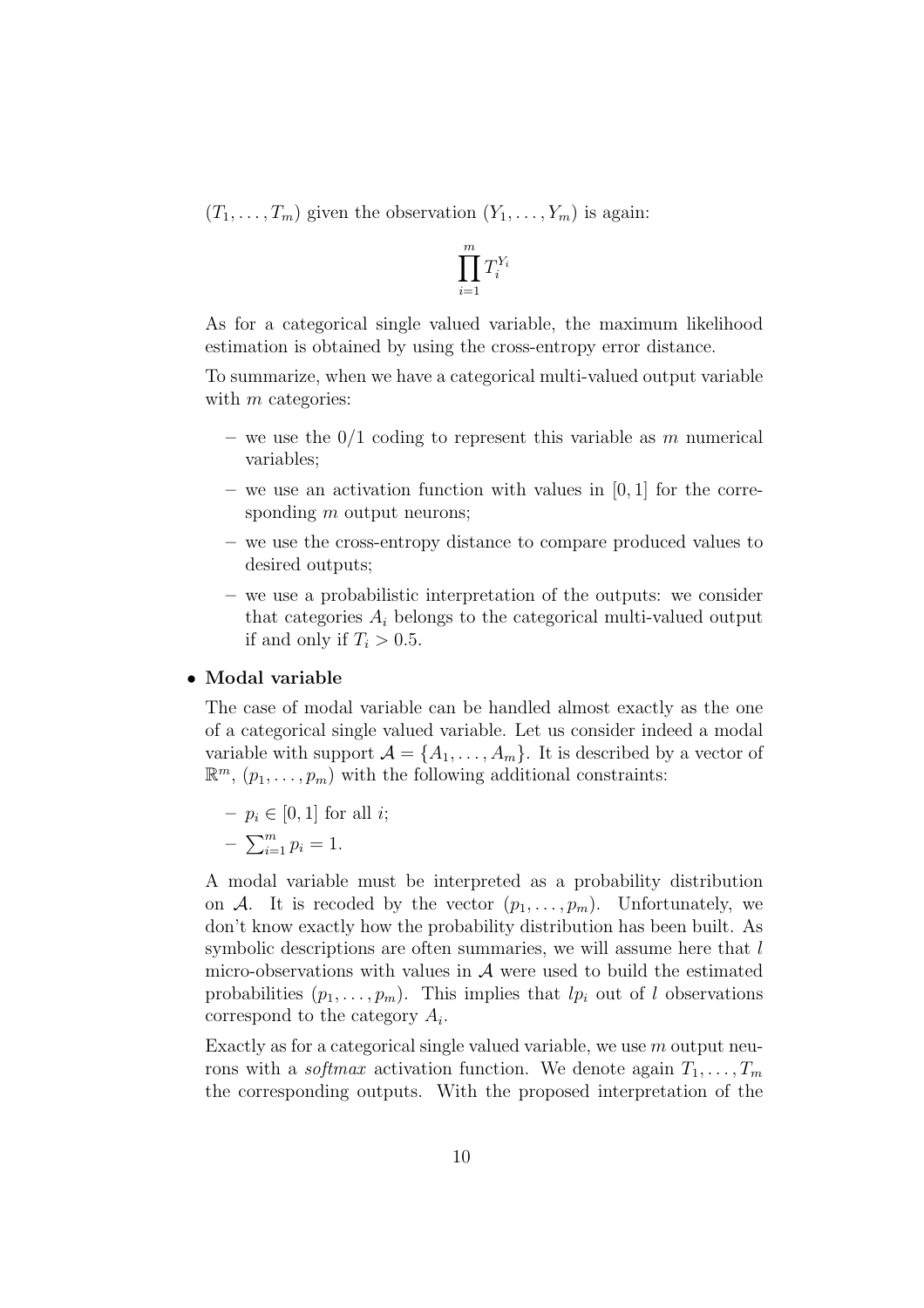$(T_1, \ldots, T_m)$  given the observation  $(Y_1, \ldots, Y_m)$  is again:

$$
\prod_{i=1}^m T_i^{Y_i}
$$

As for a categorical single valued variable, the maximum likelihood estimation is obtained by using the cross-entropy error distance.

To summarize, when we have a categorical multi-valued output variable with  $m$  categories:

- we use the  $0/1$  coding to represent this variable as m numerical variables;
- we use an activation function with values in  $[0, 1]$  for the corresponding  $m$  output neurons;
- we use the cross-entropy distance to compare produced values to desired outputs;
- we use a probabilistic interpretation of the outputs: we consider that categories  $A_i$  belongs to the categorical multi-valued output if and only if  $T_i > 0.5$ .

#### • Modal variable

The case of modal variable can be handled almost exactly as the one of a categorical single valued variable. Let us consider indeed a modal variable with support  $\mathcal{A} = \{A_1, \ldots, A_m\}$ . It is described by a vector of  $\mathbb{R}^m$ ,  $(p_1, \ldots, p_m)$  with the following additional constraints:

$$
- p_i \in [0, 1] \text{ for all } i;
$$

$$
- \sum_{i=1}^{m} p_i = 1.
$$

A modal variable must be interpreted as a probability distribution on A. It is recoded by the vector  $(p_1, \ldots, p_m)$ . Unfortunately, we don't know exactly how the probability distribution has been built. As symbolic descriptions are often summaries, we will assume here that  $l$ micro-observations with values in  $A$  were used to build the estimated probabilities  $(p_1, \ldots, p_m)$ . This implies that  $lp_i$  out of l observations correspond to the category  $A_i$ .

Exactly as for a categorical single valued variable, we use  $m$  output neurons with a *softmax* activation function. We denote again  $T_1, \ldots, T_m$ the corresponding outputs. With the proposed interpretation of the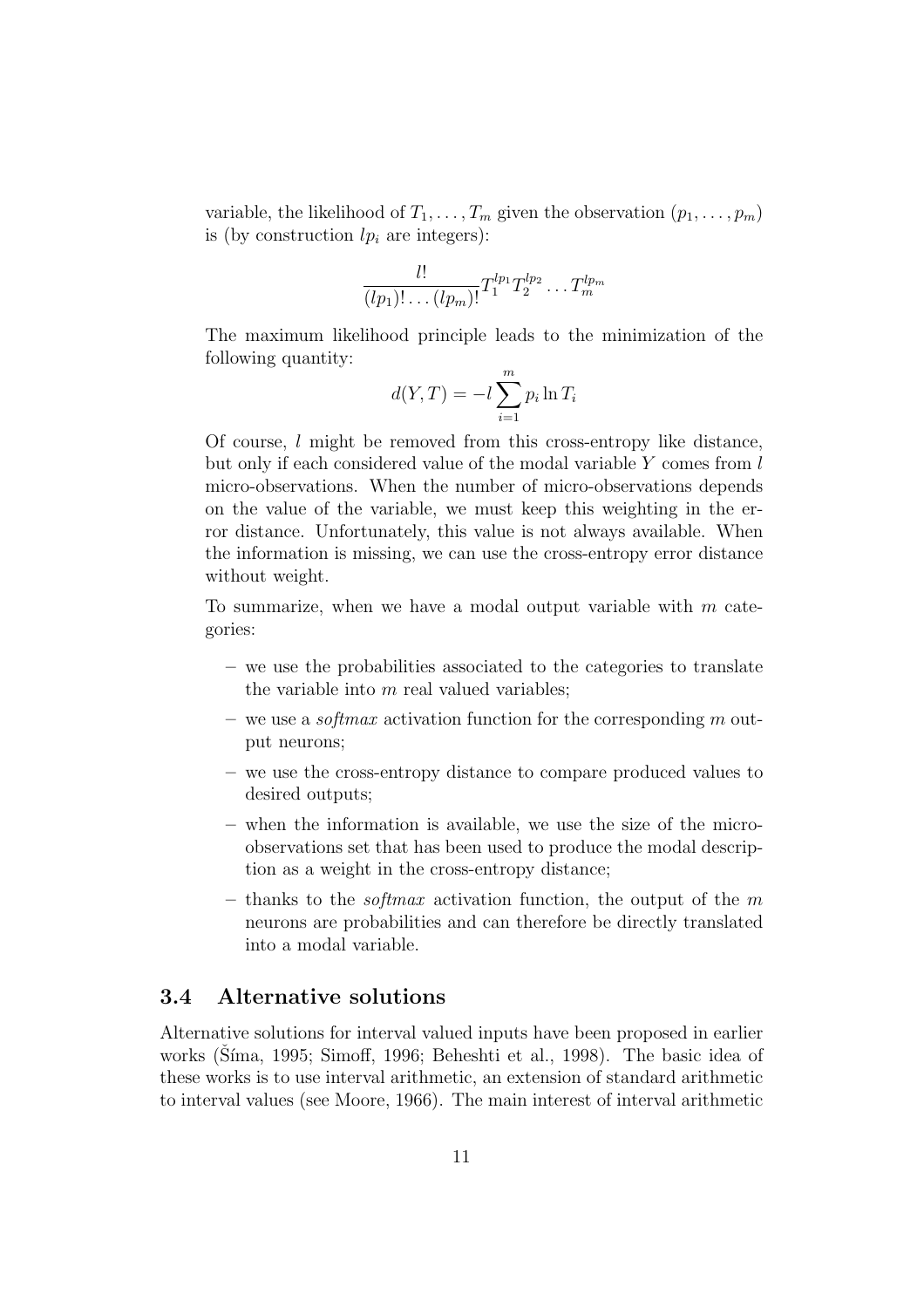variable, the likelihood of  $T_1, \ldots, T_m$  given the observation  $(p_1, \ldots, p_m)$ is (by construction  $lp_i$  are integers):

$$
\frac{l!}{(lp_1)!\dots (lp_m)!}T_1^{lp_1}T_2^{lp_2}\dots T_m^{lp_m}
$$

The maximum likelihood principle leads to the minimization of the following quantity:

$$
d(Y,T) = -l \sum_{i=1}^{m} p_i \ln T_i
$$

Of course, l might be removed from this cross-entropy like distance, but only if each considered value of the modal variable Y comes from l micro-observations. When the number of micro-observations depends on the value of the variable, we must keep this weighting in the error distance. Unfortunately, this value is not always available. When the information is missing, we can use the cross-entropy error distance without weight.

To summarize, when we have a modal output variable with  $m$  categories:

- we use the probabilities associated to the categories to translate the variable into  $m$  real valued variables;
- we use a *softmax* activation function for the corresponding m output neurons;
- we use the cross-entropy distance to compare produced values to desired outputs;
- when the information is available, we use the size of the microobservations set that has been used to produce the modal description as a weight in the cross-entropy distance;
- thanks to the *softmax* activation function, the output of the  $m$ neurons are probabilities and can therefore be directly translated into a modal variable.

## 3.4 Alternative solutions

Alternative solutions for interval valued inputs have been proposed in earlier works (Síma, 1995; Simoff, 1996; Beheshti et al., 1998). The basic idea of these works is to use interval arithmetic, an extension of standard arithmetic to interval values (see Moore, 1966). The main interest of interval arithmetic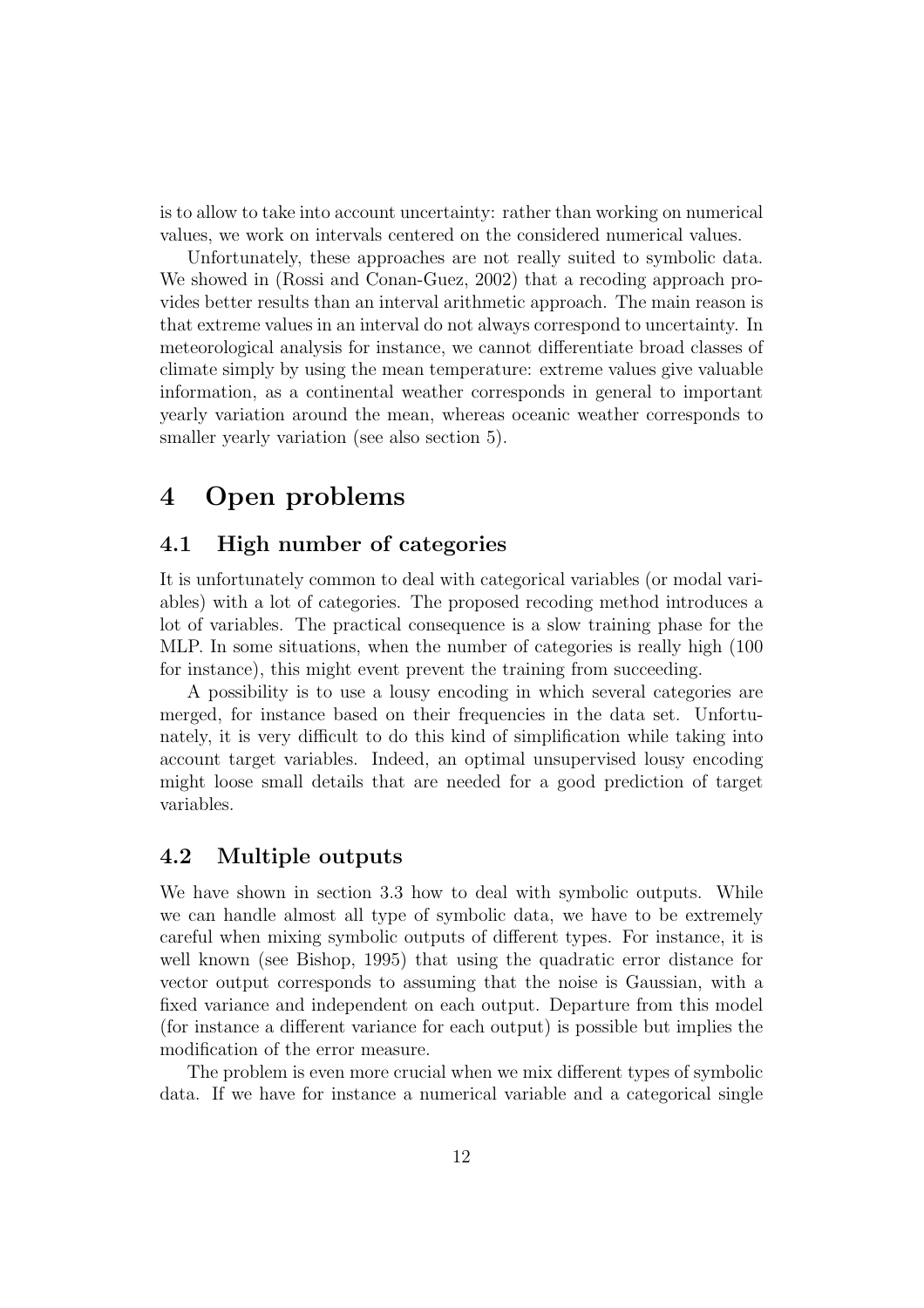is to allow to take into account uncertainty: rather than working on numerical values, we work on intervals centered on the considered numerical values.

Unfortunately, these approaches are not really suited to symbolic data. We showed in (Rossi and Conan-Guez, 2002) that a recoding approach provides better results than an interval arithmetic approach. The main reason is that extreme values in an interval do not always correspond to uncertainty. In meteorological analysis for instance, we cannot differentiate broad classes of climate simply by using the mean temperature: extreme values give valuable information, as a continental weather corresponds in general to important yearly variation around the mean, whereas oceanic weather corresponds to smaller yearly variation (see also section 5).

## 4 Open problems

## 4.1 High number of categories

It is unfortunately common to deal with categorical variables (or modal variables) with a lot of categories. The proposed recoding method introduces a lot of variables. The practical consequence is a slow training phase for the MLP. In some situations, when the number of categories is really high (100 for instance), this might event prevent the training from succeeding.

A possibility is to use a lousy encoding in which several categories are merged, for instance based on their frequencies in the data set. Unfortunately, it is very difficult to do this kind of simplification while taking into account target variables. Indeed, an optimal unsupervised lousy encoding might loose small details that are needed for a good prediction of target variables.

### 4.2 Multiple outputs

We have shown in section 3.3 how to deal with symbolic outputs. While we can handle almost all type of symbolic data, we have to be extremely careful when mixing symbolic outputs of different types. For instance, it is well known (see Bishop, 1995) that using the quadratic error distance for vector output corresponds to assuming that the noise is Gaussian, with a fixed variance and independent on each output. Departure from this model (for instance a different variance for each output) is possible but implies the modification of the error measure.

The problem is even more crucial when we mix different types of symbolic data. If we have for instance a numerical variable and a categorical single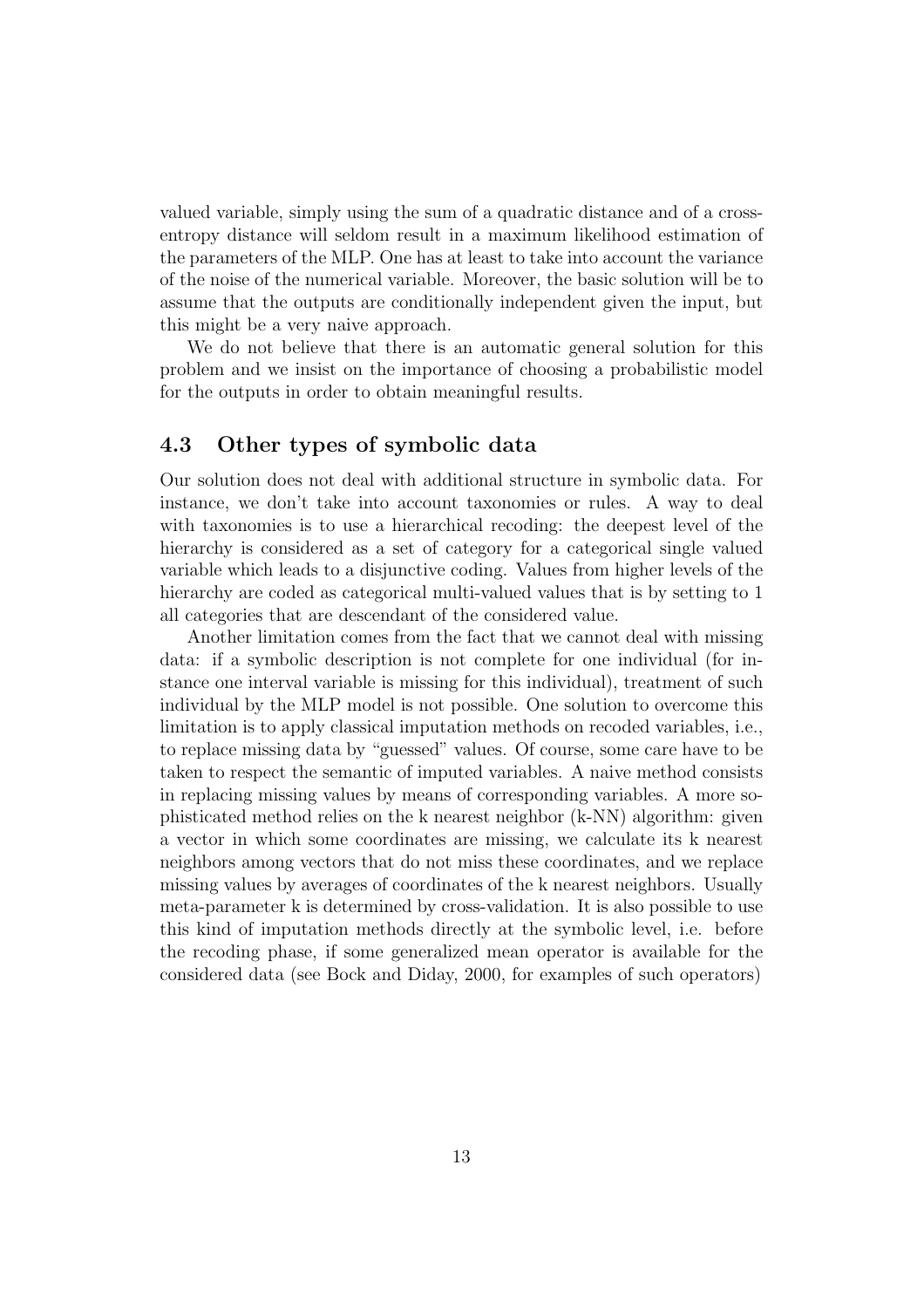valued variable, simply using the sum of a quadratic distance and of a crossentropy distance will seldom result in a maximum likelihood estimation of the parameters of the MLP. One has at least to take into account the variance of the noise of the numerical variable. Moreover, the basic solution will be to assume that the outputs are conditionally independent given the input, but this might be a very naive approach.

We do not believe that there is an automatic general solution for this problem and we insist on the importance of choosing a probabilistic model for the outputs in order to obtain meaningful results.

### 4.3 Other types of symbolic data

Our solution does not deal with additional structure in symbolic data. For instance, we don't take into account taxonomies or rules. A way to deal with taxonomies is to use a hierarchical recoding: the deepest level of the hierarchy is considered as a set of category for a categorical single valued variable which leads to a disjunctive coding. Values from higher levels of the hierarchy are coded as categorical multi-valued values that is by setting to 1 all categories that are descendant of the considered value.

Another limitation comes from the fact that we cannot deal with missing data: if a symbolic description is not complete for one individual (for instance one interval variable is missing for this individual), treatment of such individual by the MLP model is not possible. One solution to overcome this limitation is to apply classical imputation methods on recoded variables, i.e., to replace missing data by "guessed" values. Of course, some care have to be taken to respect the semantic of imputed variables. A naive method consists in replacing missing values by means of corresponding variables. A more sophisticated method relies on the k nearest neighbor (k-NN) algorithm: given a vector in which some coordinates are missing, we calculate its k nearest neighbors among vectors that do not miss these coordinates, and we replace missing values by averages of coordinates of the k nearest neighbors. Usually meta-parameter k is determined by cross-validation. It is also possible to use this kind of imputation methods directly at the symbolic level, i.e. before the recoding phase, if some generalized mean operator is available for the considered data (see Bock and Diday, 2000, for examples of such operators)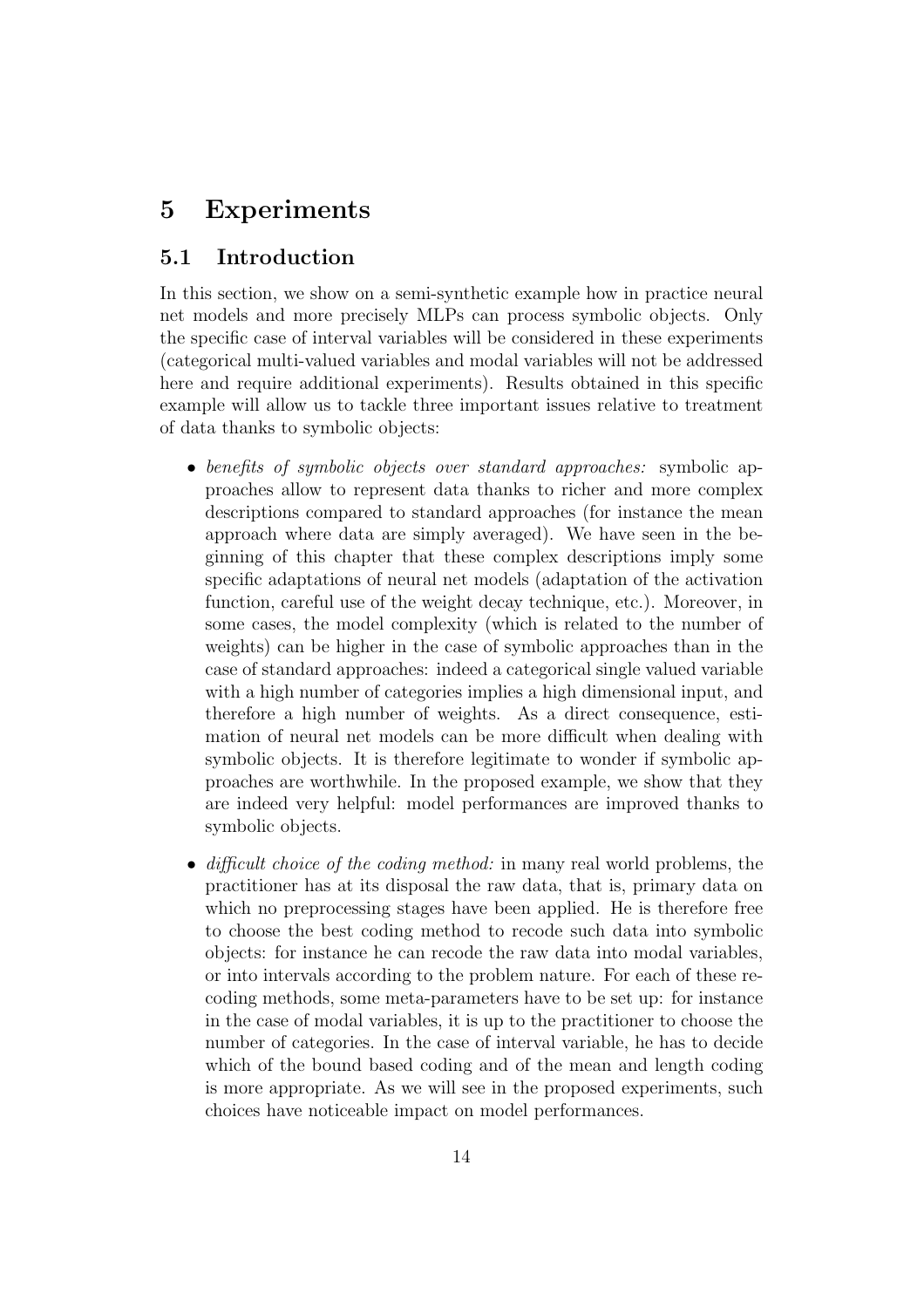# 5 Experiments

## 5.1 Introduction

In this section, we show on a semi-synthetic example how in practice neural net models and more precisely MLPs can process symbolic objects. Only the specific case of interval variables will be considered in these experiments (categorical multi-valued variables and modal variables will not be addressed here and require additional experiments). Results obtained in this specific example will allow us to tackle three important issues relative to treatment of data thanks to symbolic objects:

- benefits of symbolic objects over standard approaches: symbolic approaches allow to represent data thanks to richer and more complex descriptions compared to standard approaches (for instance the mean approach where data are simply averaged). We have seen in the beginning of this chapter that these complex descriptions imply some specific adaptations of neural net models (adaptation of the activation function, careful use of the weight decay technique, etc.). Moreover, in some cases, the model complexity (which is related to the number of weights) can be higher in the case of symbolic approaches than in the case of standard approaches: indeed a categorical single valued variable with a high number of categories implies a high dimensional input, and therefore a high number of weights. As a direct consequence, estimation of neural net models can be more difficult when dealing with symbolic objects. It is therefore legitimate to wonder if symbolic approaches are worthwhile. In the proposed example, we show that they are indeed very helpful: model performances are improved thanks to symbolic objects.
- difficult choice of the coding method: in many real world problems, the practitioner has at its disposal the raw data, that is, primary data on which no preprocessing stages have been applied. He is therefore free to choose the best coding method to recode such data into symbolic objects: for instance he can recode the raw data into modal variables, or into intervals according to the problem nature. For each of these recoding methods, some meta-parameters have to be set up: for instance in the case of modal variables, it is up to the practitioner to choose the number of categories. In the case of interval variable, he has to decide which of the bound based coding and of the mean and length coding is more appropriate. As we will see in the proposed experiments, such choices have noticeable impact on model performances.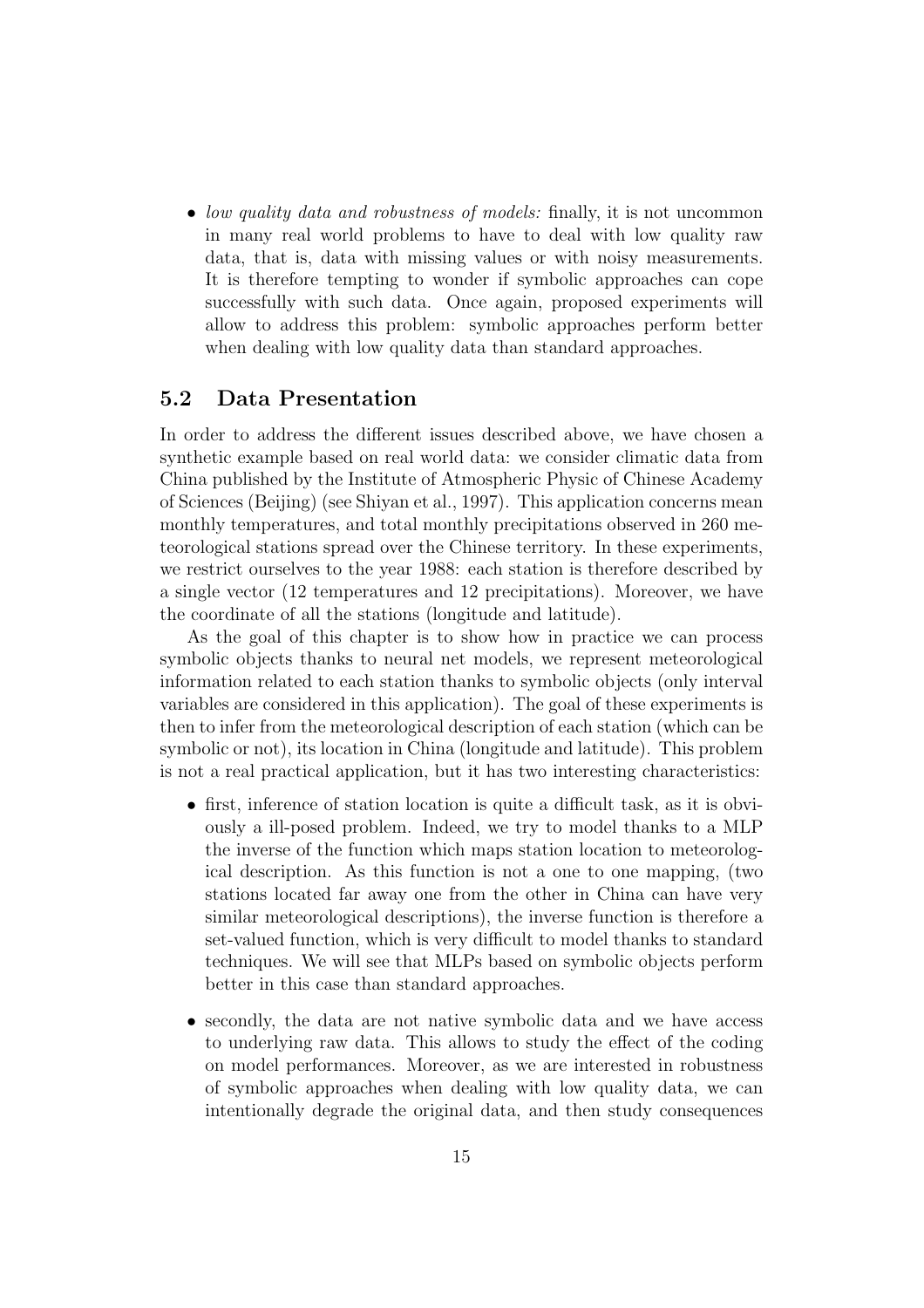• low quality data and robustness of models: finally, it is not uncommon in many real world problems to have to deal with low quality raw data, that is, data with missing values or with noisy measurements. It is therefore tempting to wonder if symbolic approaches can cope successfully with such data. Once again, proposed experiments will allow to address this problem: symbolic approaches perform better when dealing with low quality data than standard approaches.

## 5.2 Data Presentation

In order to address the different issues described above, we have chosen a synthetic example based on real world data: we consider climatic data from China published by the Institute of Atmospheric Physic of Chinese Academy of Sciences (Beijing) (see Shiyan et al., 1997). This application concerns mean monthly temperatures, and total monthly precipitations observed in 260 meteorological stations spread over the Chinese territory. In these experiments, we restrict ourselves to the year 1988: each station is therefore described by a single vector (12 temperatures and 12 precipitations). Moreover, we have the coordinate of all the stations (longitude and latitude).

As the goal of this chapter is to show how in practice we can process symbolic objects thanks to neural net models, we represent meteorological information related to each station thanks to symbolic objects (only interval variables are considered in this application). The goal of these experiments is then to infer from the meteorological description of each station (which can be symbolic or not), its location in China (longitude and latitude). This problem is not a real practical application, but it has two interesting characteristics:

- first, inference of station location is quite a difficult task, as it is obviously a ill-posed problem. Indeed, we try to model thanks to a MLP the inverse of the function which maps station location to meteorological description. As this function is not a one to one mapping, (two stations located far away one from the other in China can have very similar meteorological descriptions), the inverse function is therefore a set-valued function, which is very difficult to model thanks to standard techniques. We will see that MLPs based on symbolic objects perform better in this case than standard approaches.
- secondly, the data are not native symbolic data and we have access to underlying raw data. This allows to study the effect of the coding on model performances. Moreover, as we are interested in robustness of symbolic approaches when dealing with low quality data, we can intentionally degrade the original data, and then study consequences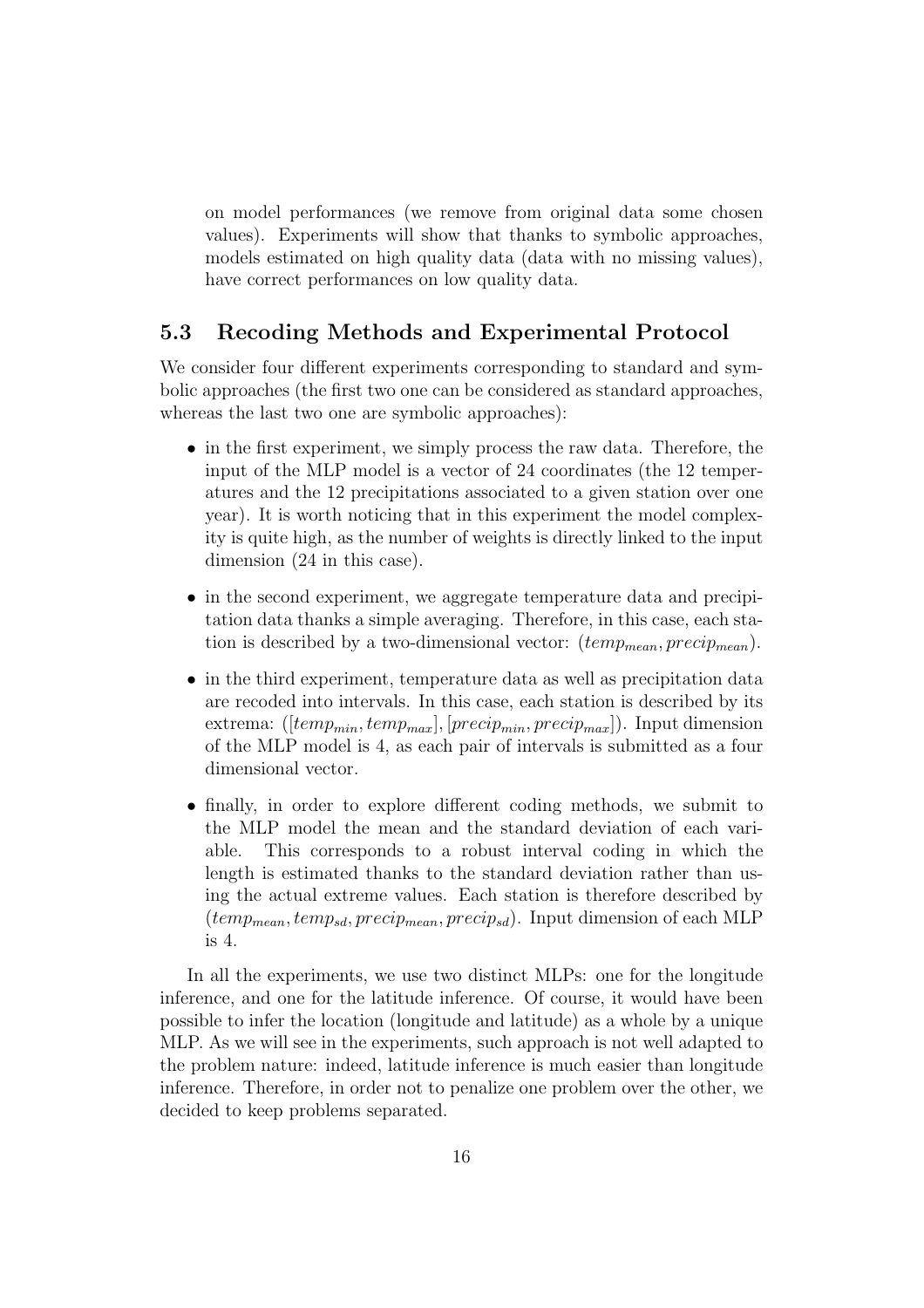on model performances (we remove from original data some chosen values). Experiments will show that thanks to symbolic approaches, models estimated on high quality data (data with no missing values), have correct performances on low quality data.

## 5.3 Recoding Methods and Experimental Protocol

We consider four different experiments corresponding to standard and symbolic approaches (the first two one can be considered as standard approaches, whereas the last two one are symbolic approaches):

- in the first experiment, we simply process the raw data. Therefore, the input of the MLP model is a vector of 24 coordinates (the 12 temperatures and the 12 precipitations associated to a given station over one year). It is worth noticing that in this experiment the model complexity is quite high, as the number of weights is directly linked to the input dimension (24 in this case).
- in the second experiment, we aggregate temperature data and precipitation data thanks a simple averaging. Therefore, in this case, each station is described by a two-dimensional vector:  $temp_{mean}, precip_{mean}$ ).
- in the third experiment, temperature data as well as precipitation data are recoded into intervals. In this case, each station is described by its extrema: ([ $temp_{min}$ ,  $temp_{max}$ ], [ $precip_{min}$ ,  $precip_{max}$ ]). Input dimension of the MLP model is 4, as each pair of intervals is submitted as a four dimensional vector.
- finally, in order to explore different coding methods, we submit to the MLP model the mean and the standard deviation of each variable. This corresponds to a robust interval coding in which the length is estimated thanks to the standard deviation rather than using the actual extreme values. Each station is therefore described by  $temp_{mean}, temp_{sd}, precip_{mean}, precip_{sd}$ . Input dimension of each MLP is 4.

In all the experiments, we use two distinct MLPs: one for the longitude inference, and one for the latitude inference. Of course, it would have been possible to infer the location (longitude and latitude) as a whole by a unique MLP. As we will see in the experiments, such approach is not well adapted to the problem nature: indeed, latitude inference is much easier than longitude inference. Therefore, in order not to penalize one problem over the other, we decided to keep problems separated.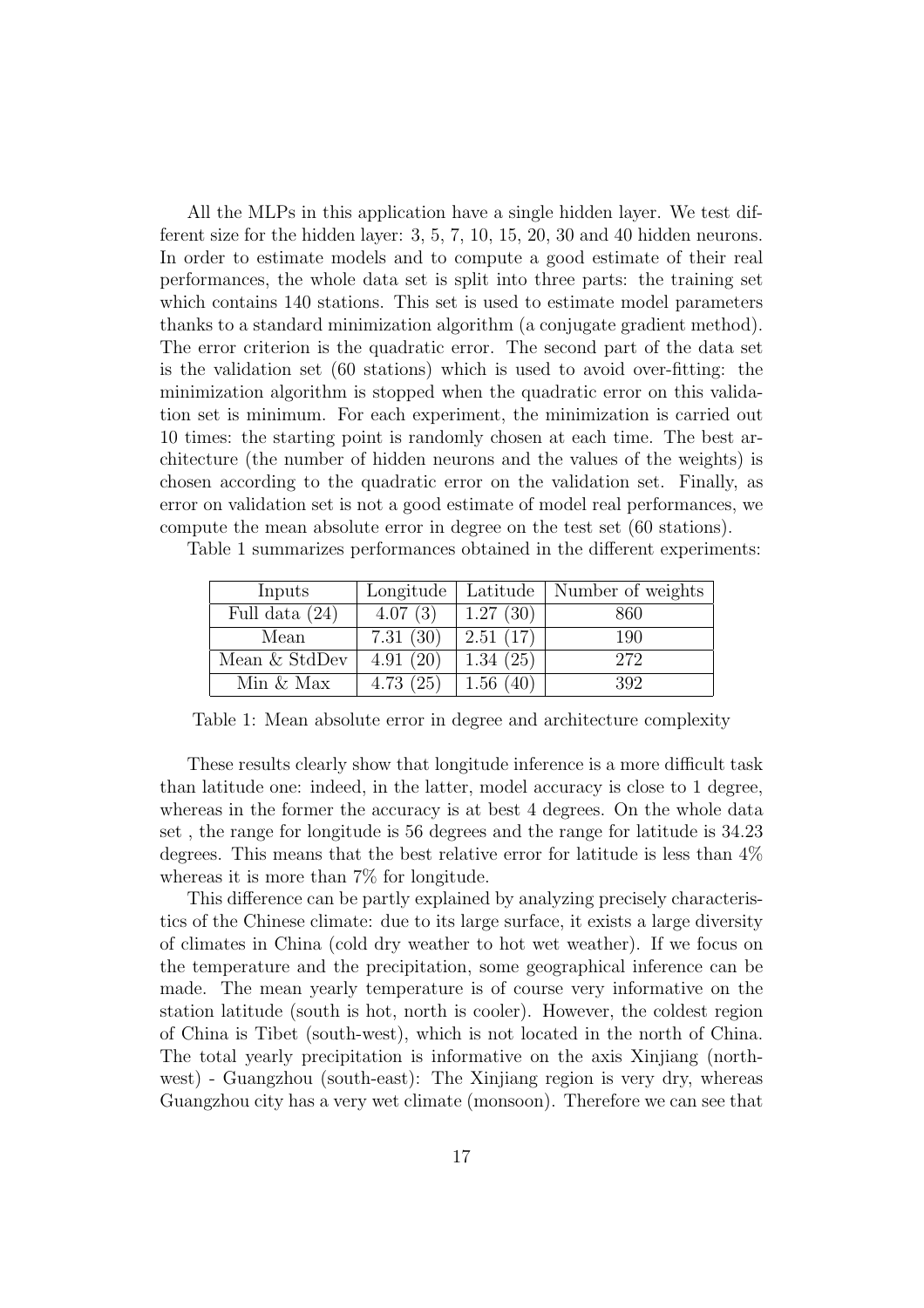All the MLPs in this application have a single hidden layer. We test different size for the hidden layer: 3, 5, 7, 10, 15, 20, 30 and 40 hidden neurons. In order to estimate models and to compute a good estimate of their real performances, the whole data set is split into three parts: the training set which contains 140 stations. This set is used to estimate model parameters thanks to a standard minimization algorithm (a conjugate gradient method). The error criterion is the quadratic error. The second part of the data set is the validation set (60 stations) which is used to avoid over-fitting: the minimization algorithm is stopped when the quadratic error on this validation set is minimum. For each experiment, the minimization is carried out 10 times: the starting point is randomly chosen at each time. The best architecture (the number of hidden neurons and the values of the weights) is chosen according to the quadratic error on the validation set. Finally, as error on validation set is not a good estimate of model real performances, we compute the mean absolute error in degree on the test set (60 stations).

Table 1 summarizes performances obtained in the different experiments:

| Inputs           | Longitude | Latitude | Number of weights |
|------------------|-----------|----------|-------------------|
| Full data $(24)$ | 4.07(3)   | 1.27(30) | 860               |
| Mean             | 7.31(30)  | 2.51(17) | 190               |
| Mean & StdDev    | 4.91(20)  | 1.34(25) | 272               |
| Min $&$ Max      | 4.73(25)  | 1.56(40) | 392               |

Table 1: Mean absolute error in degree and architecture complexity

These results clearly show that longitude inference is a more difficult task than latitude one: indeed, in the latter, model accuracy is close to 1 degree, whereas in the former the accuracy is at best 4 degrees. On the whole data set , the range for longitude is 56 degrees and the range for latitude is 34.23 degrees. This means that the best relative error for latitude is less than 4% whereas it is more than 7% for longitude.

This difference can be partly explained by analyzing precisely characteristics of the Chinese climate: due to its large surface, it exists a large diversity of climates in China (cold dry weather to hot wet weather). If we focus on the temperature and the precipitation, some geographical inference can be made. The mean yearly temperature is of course very informative on the station latitude (south is hot, north is cooler). However, the coldest region of China is Tibet (south-west), which is not located in the north of China. The total yearly precipitation is informative on the axis Xinjiang (northwest) - Guangzhou (south-east): The Xinjiang region is very dry, whereas Guangzhou city has a very wet climate (monsoon). Therefore we can see that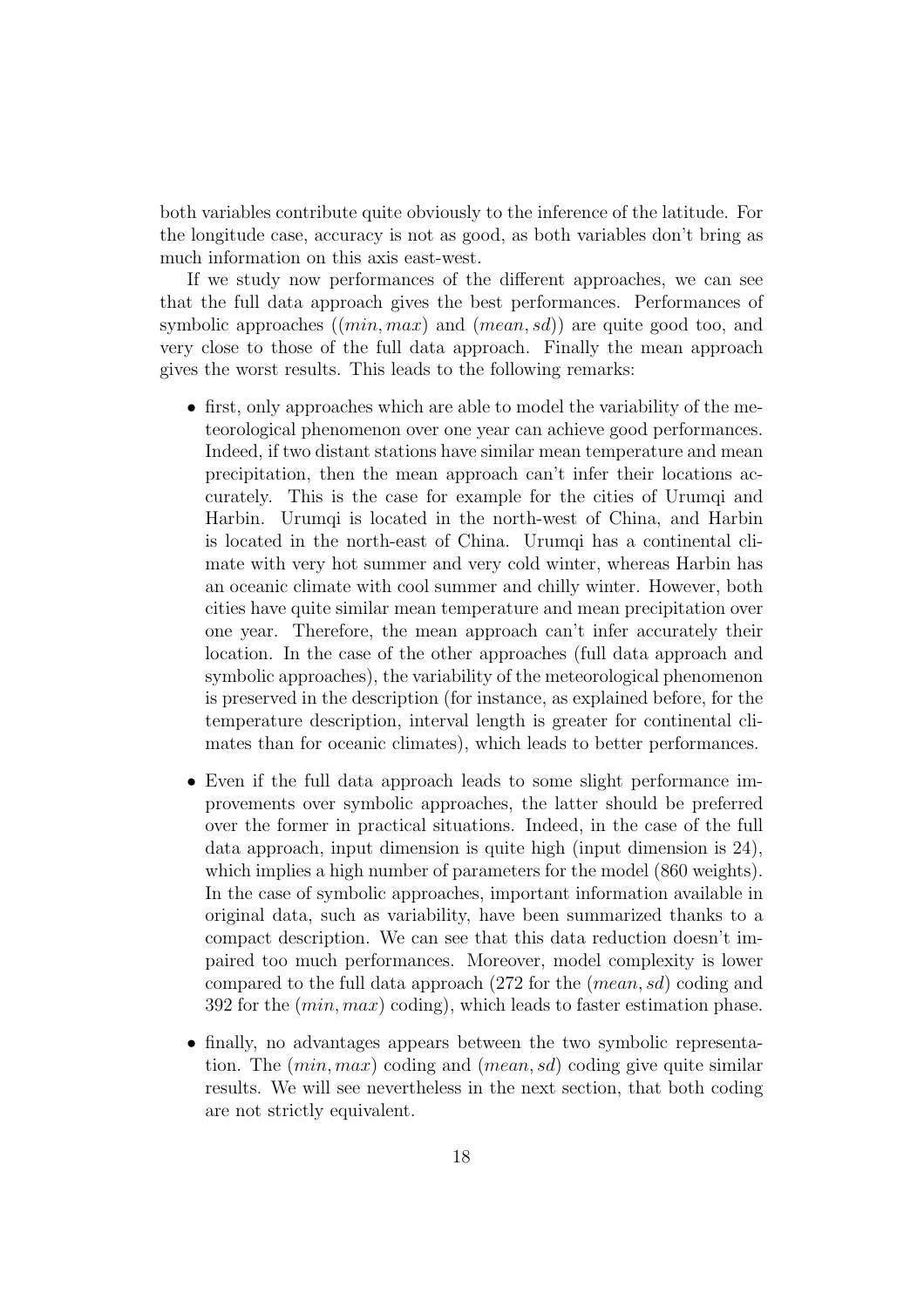both variables contribute quite obviously to the inference of the latitude. For the longitude case, accuracy is not as good, as both variables don't bring as much information on this axis east-west.

If we study now performances of the different approaches, we can see that the full data approach gives the best performances. Performances of symbolic approaches  $((min, max)$  and  $(mean, sd))$  are quite good too, and very close to those of the full data approach. Finally the mean approach gives the worst results. This leads to the following remarks:

- first, only approaches which are able to model the variability of the meteorological phenomenon over one year can achieve good performances. Indeed, if two distant stations have similar mean temperature and mean precipitation, then the mean approach can't infer their locations accurately. This is the case for example for the cities of Urumqi and Harbin. Urumqi is located in the north-west of China, and Harbin is located in the north-east of China. Urumqi has a continental climate with very hot summer and very cold winter, whereas Harbin has an oceanic climate with cool summer and chilly winter. However, both cities have quite similar mean temperature and mean precipitation over one year. Therefore, the mean approach can't infer accurately their location. In the case of the other approaches (full data approach and symbolic approaches), the variability of the meteorological phenomenon is preserved in the description (for instance, as explained before, for the temperature description, interval length is greater for continental climates than for oceanic climates), which leads to better performances.
- Even if the full data approach leads to some slight performance improvements over symbolic approaches, the latter should be preferred over the former in practical situations. Indeed, in the case of the full data approach, input dimension is quite high (input dimension is 24), which implies a high number of parameters for the model (860 weights). In the case of symbolic approaches, important information available in original data, such as variability, have been summarized thanks to a compact description. We can see that this data reduction doesn't impaired too much performances. Moreover, model complexity is lower compared to the full data approach (272 for the (mean, sd) coding and 392 for the  $(min, max)$  coding), which leads to faster estimation phase.
- finally, no advantages appears between the two symbolic representation. The  $(min, max)$  coding and  $-mean, sd$  coding give quite similar results. We will see nevertheless in the next section, that both coding are not strictly equivalent.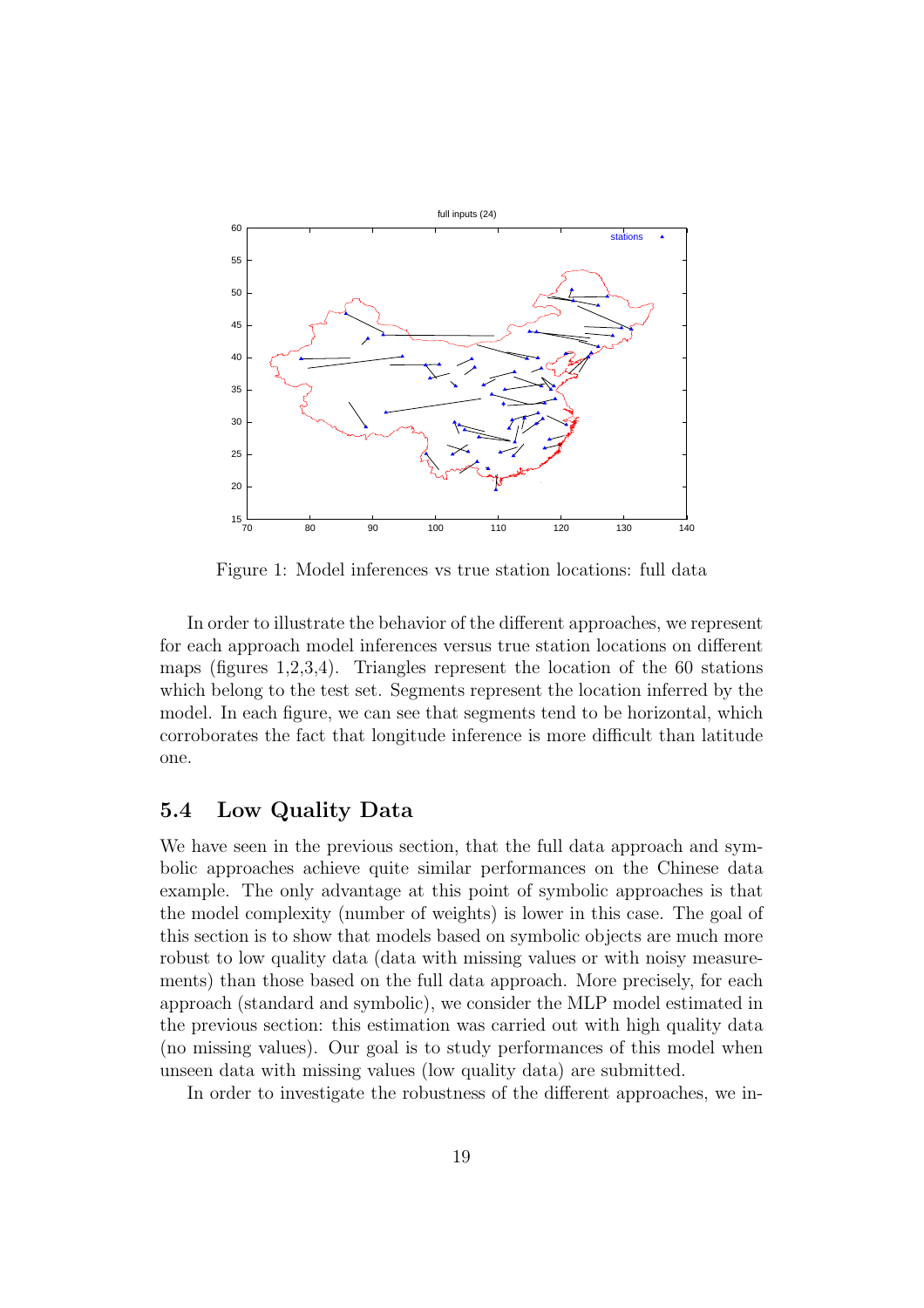

Figure 1: Model inferences vs true station locations: full data

In order to illustrate the behavior of the different approaches, we represent for each approach model inferences versus true station locations on different maps (figures 1,2,3,4). Triangles represent the location of the 60 stations which belong to the test set. Segments represent the location inferred by the model. In each figure, we can see that segments tend to be horizontal, which corroborates the fact that longitude inference is more difficult than latitude one.

## 5.4 Low Quality Data

We have seen in the previous section, that the full data approach and symbolic approaches achieve quite similar performances on the Chinese data example. The only advantage at this point of symbolic approaches is that the model complexity (number of weights) is lower in this case. The goal of this section is to show that models based on symbolic objects are much more robust to low quality data (data with missing values or with noisy measurements) than those based on the full data approach. More precisely, for each approach (standard and symbolic), we consider the MLP model estimated in the previous section: this estimation was carried out with high quality data (no missing values). Our goal is to study performances of this model when unseen data with missing values (low quality data) are submitted.

In order to investigate the robustness of the different approaches, we in-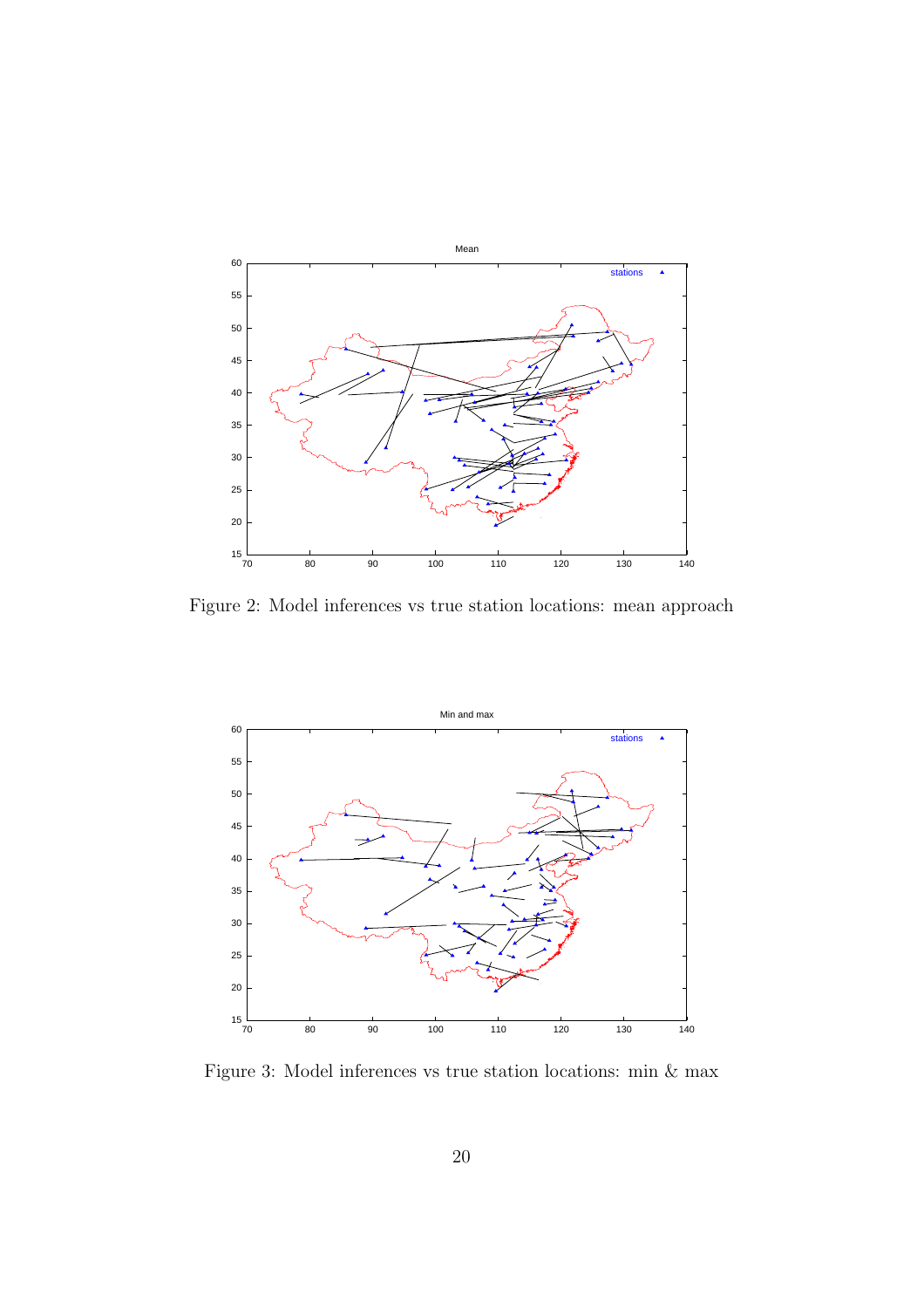

Figure 2: Model inferences vs true station locations: mean approach



Figure 3: Model inferences vs true station locations: min & max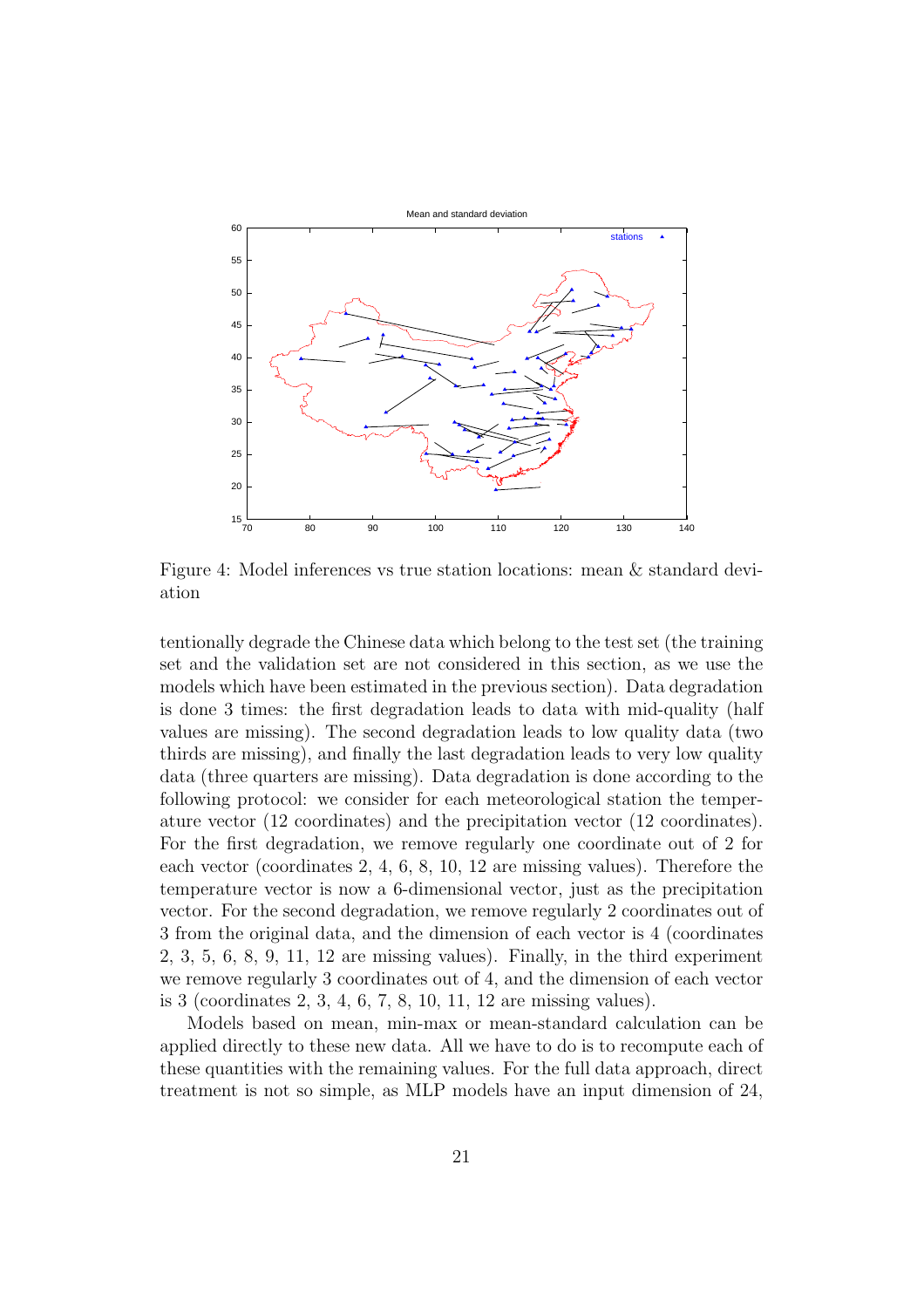

Figure 4: Model inferences vs true station locations: mean & standard deviation

tentionally degrade the Chinese data which belong to the test set (the training set and the validation set are not considered in this section, as we use the models which have been estimated in the previous section). Data degradation is done 3 times: the first degradation leads to data with mid-quality (half values are missing). The second degradation leads to low quality data (two thirds are missing), and finally the last degradation leads to very low quality data (three quarters are missing). Data degradation is done according to the following protocol: we consider for each meteorological station the temperature vector (12 coordinates) and the precipitation vector (12 coordinates). For the first degradation, we remove regularly one coordinate out of 2 for each vector (coordinates 2, 4, 6, 8, 10, 12 are missing values). Therefore the temperature vector is now a 6-dimensional vector, just as the precipitation vector. For the second degradation, we remove regularly 2 coordinates out of 3 from the original data, and the dimension of each vector is 4 (coordinates 2, 3, 5, 6, 8, 9, 11, 12 are missing values). Finally, in the third experiment we remove regularly 3 coordinates out of 4, and the dimension of each vector is 3 (coordinates 2, 3, 4, 6, 7, 8, 10, 11, 12 are missing values).

Models based on mean, min-max or mean-standard calculation can be applied directly to these new data. All we have to do is to recompute each of these quantities with the remaining values. For the full data approach, direct treatment is not so simple, as MLP models have an input dimension of 24,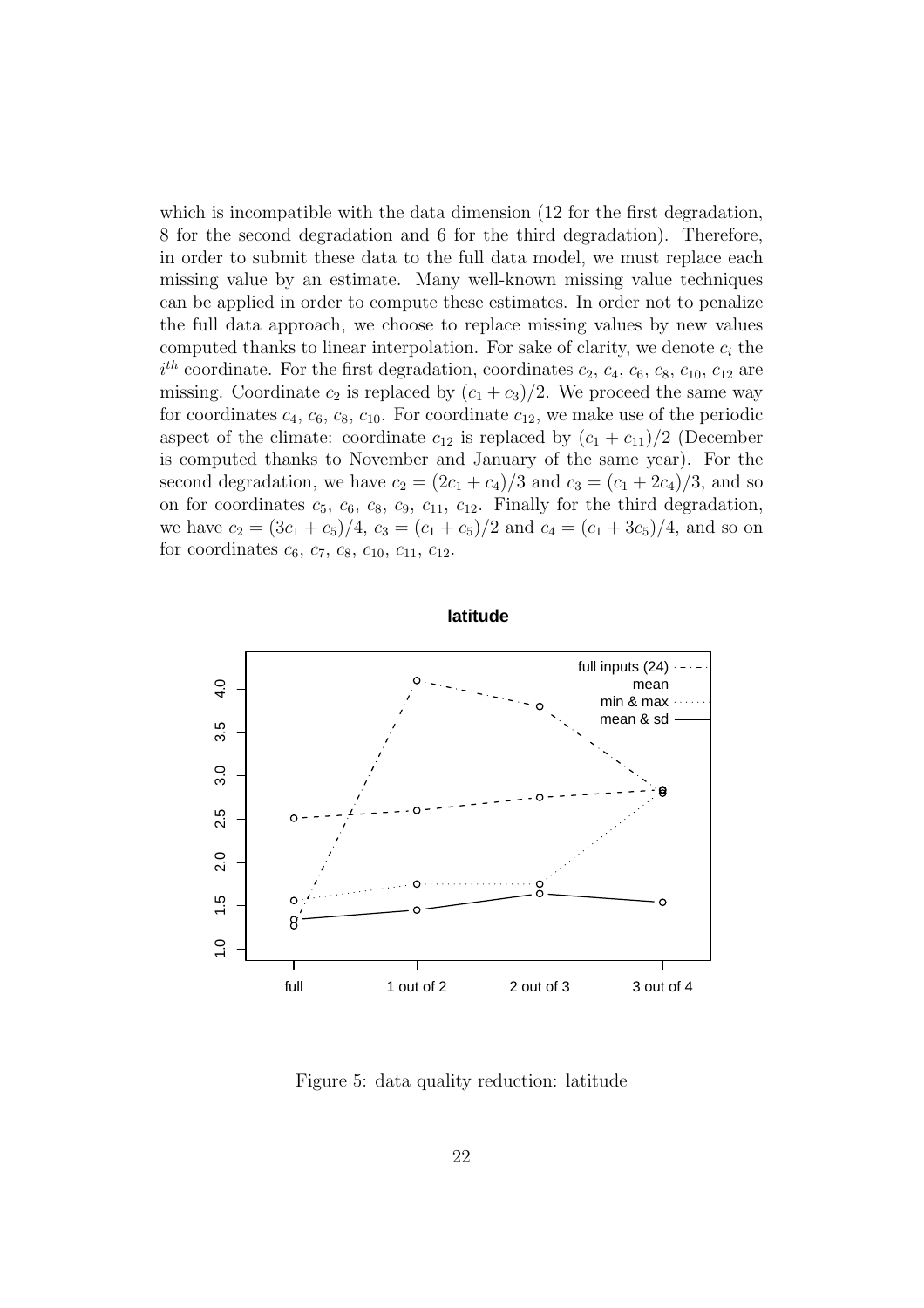which is incompatible with the data dimension (12 for the first degradation, 8 for the second degradation and 6 for the third degradation). Therefore, in order to submit these data to the full data model, we must replace each missing value by an estimate. Many well-known missing value techniques can be applied in order to compute these estimates. In order not to penalize the full data approach, we choose to replace missing values by new values computed thanks to linear interpolation. For sake of clarity, we denote  $c_i$  the  $i^{th}$  coordinate. For the first degradation, coordinates  $c_2$ ,  $c_4$ ,  $c_6$ ,  $c_8$ ,  $c_{10}$ ,  $c_{12}$  are missing. Coordinate  $c_2$  is replaced by  $(c_1 + c_3)/2$ . We proceed the same way for coordinates  $c_4$ ,  $c_6$ ,  $c_8$ ,  $c_{10}$ . For coordinate  $c_{12}$ , we make use of the periodic aspect of the climate: coordinate  $c_{12}$  is replaced by  $(c_1 + c_{11})/2$  (December is computed thanks to November and January of the same year). For the second degradation, we have  $c_2 = (2c_1 + c_4)/3$  and  $c_3 = (c_1 + 2c_4)/3$ , and so on for coordinates  $c_5$ ,  $c_6$ ,  $c_8$ ,  $c_9$ ,  $c_{11}$ ,  $c_{12}$ . Finally for the third degradation, we have  $c_2 = (3c_1 + c_5)/4$ ,  $c_3 = (c_1 + c_5)/2$  and  $c_4 = (c_1 + 3c_5)/4$ , and so on for coordinates  $c_6$ ,  $c_7$ ,  $c_8$ ,  $c_{10}$ ,  $c_{11}$ ,  $c_{12}$ .



Figure 5: data quality reduction: latitude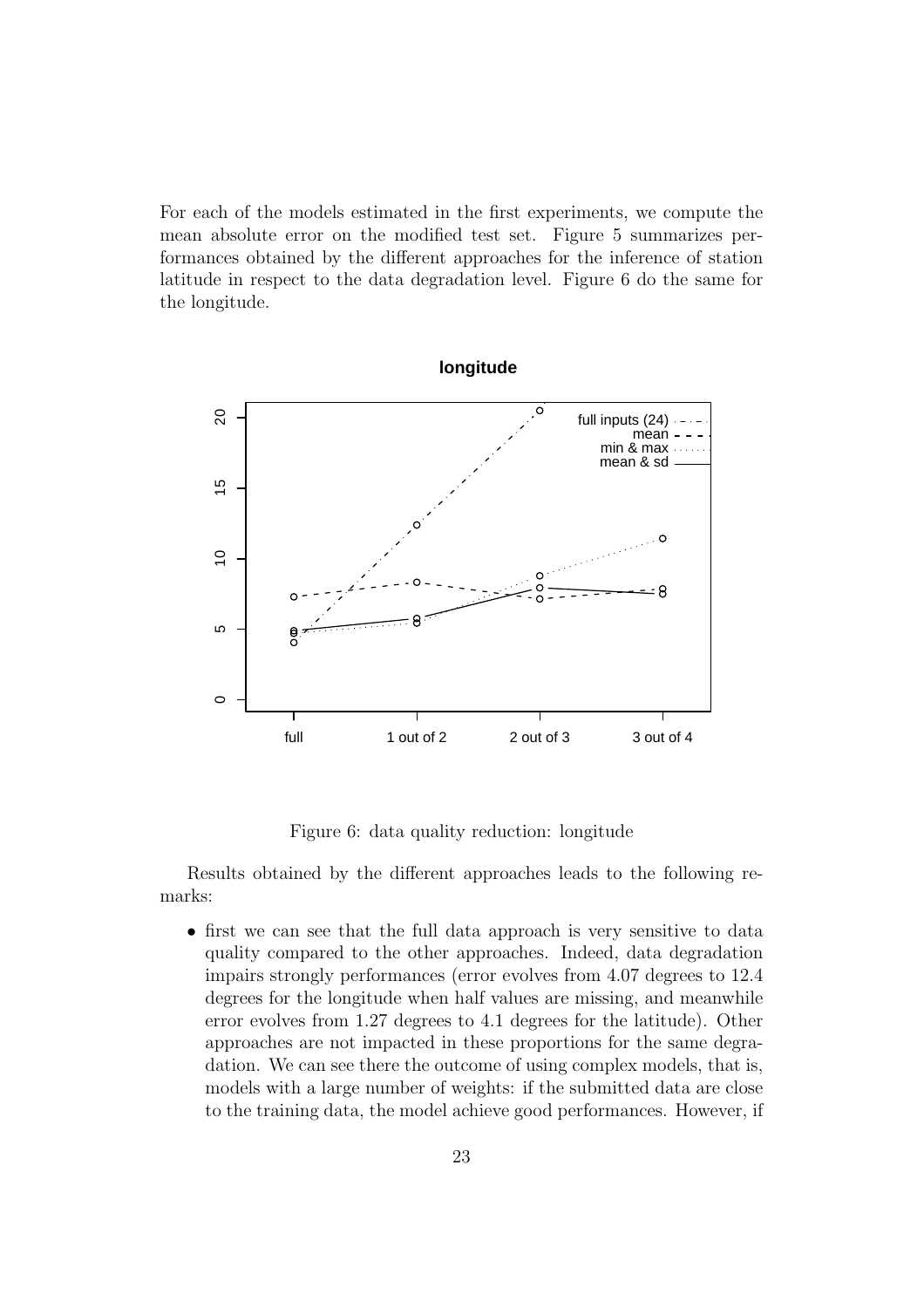For each of the models estimated in the first experiments, we compute the mean absolute error on the modified test set. Figure 5 summarizes performances obtained by the different approaches for the inference of station latitude in respect to the data degradation level. Figure 6 do the same for the longitude.



Figure 6: data quality reduction: longitude

Results obtained by the different approaches leads to the following remarks:

• first we can see that the full data approach is very sensitive to data quality compared to the other approaches. Indeed, data degradation impairs strongly performances (error evolves from 4.07 degrees to 12.4 degrees for the longitude when half values are missing, and meanwhile error evolves from 1.27 degrees to 4.1 degrees for the latitude). Other approaches are not impacted in these proportions for the same degradation. We can see there the outcome of using complex models, that is, models with a large number of weights: if the submitted data are close to the training data, the model achieve good performances. However, if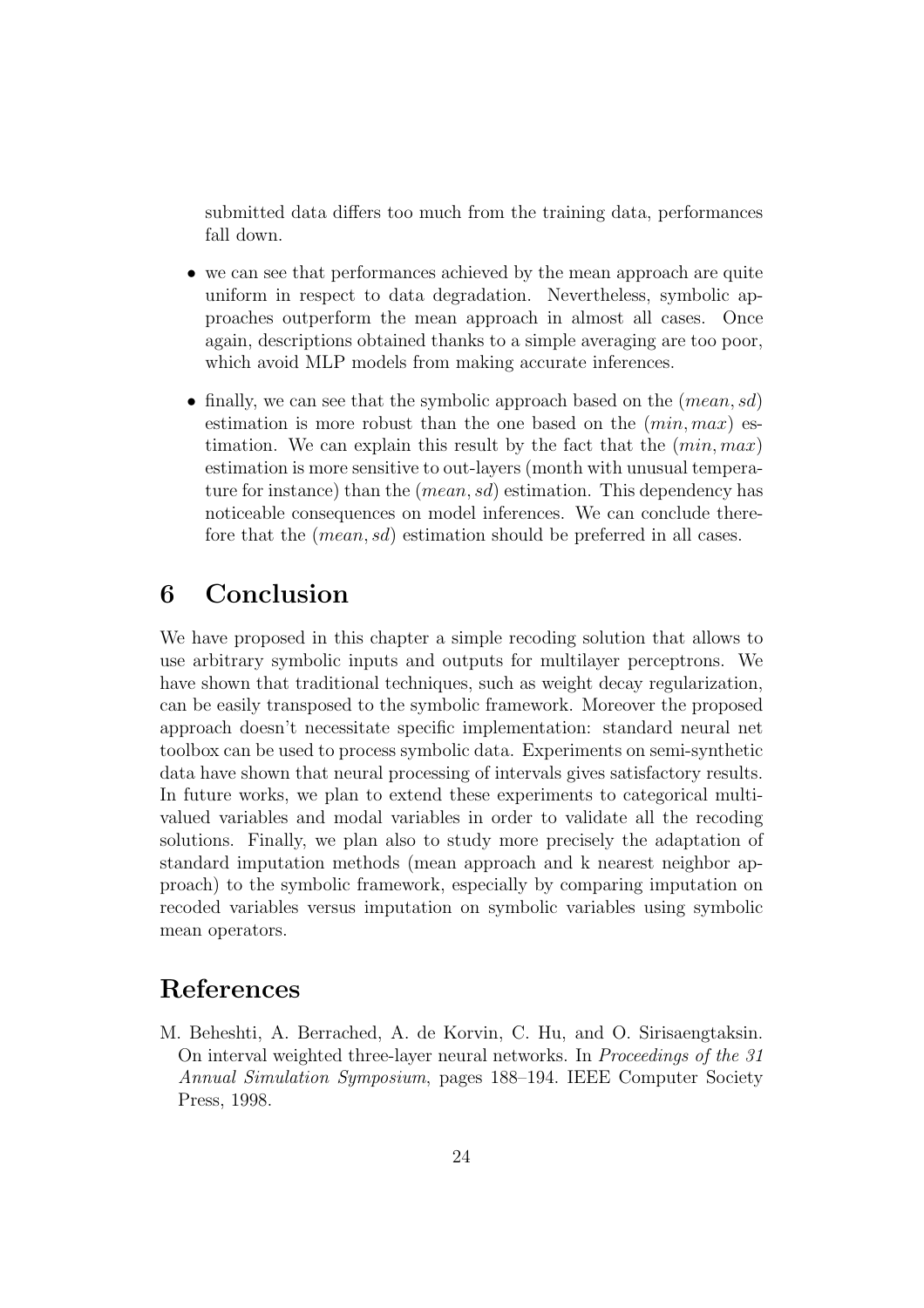submitted data differs too much from the training data, performances fall down.

- we can see that performances achieved by the mean approach are quite uniform in respect to data degradation. Nevertheless, symbolic approaches outperform the mean approach in almost all cases. Once again, descriptions obtained thanks to a simple averaging are too poor, which avoid MLP models from making accurate inferences.
- finally, we can see that the symbolic approach based on the  $(mean, sd)$ estimation is more robust than the one based on the  $(min, max)$  estimation. We can explain this result by the fact that the  $(min, max)$ estimation is more sensitive to out-layers (month with unusual temperature for instance) than the *(mean, sd)* estimation. This dependency has noticeable consequences on model inferences. We can conclude therefore that the *(mean, sd)* estimation should be preferred in all cases.

# 6 Conclusion

We have proposed in this chapter a simple recoding solution that allows to use arbitrary symbolic inputs and outputs for multilayer perceptrons. We have shown that traditional techniques, such as weight decay regularization, can be easily transposed to the symbolic framework. Moreover the proposed approach doesn't necessitate specific implementation: standard neural net toolbox can be used to process symbolic data. Experiments on semi-synthetic data have shown that neural processing of intervals gives satisfactory results. In future works, we plan to extend these experiments to categorical multivalued variables and modal variables in order to validate all the recoding solutions. Finally, we plan also to study more precisely the adaptation of standard imputation methods (mean approach and k nearest neighbor approach) to the symbolic framework, especially by comparing imputation on recoded variables versus imputation on symbolic variables using symbolic mean operators.

## References

M. Beheshti, A. Berrached, A. de Korvin, C. Hu, and O. Sirisaengtaksin. On interval weighted three-layer neural networks. In Proceedings of the 31 Annual Simulation Symposium, pages 188–194. IEEE Computer Society Press, 1998.